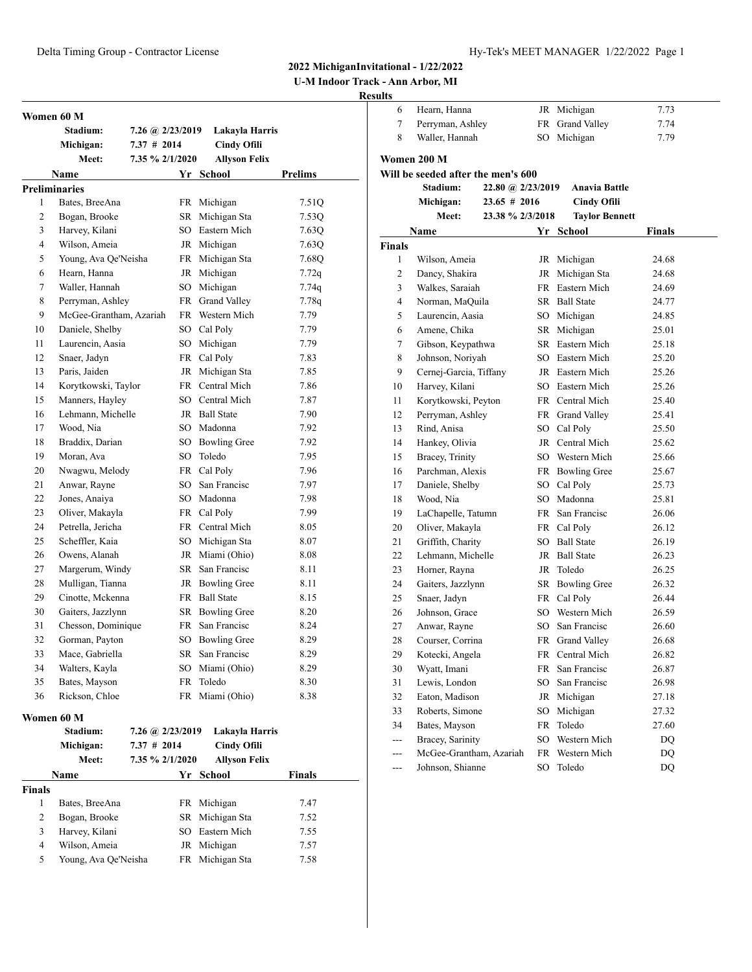**U-M Indoor Track - Ann Arbor, MI**

| Women 60 M           |                         |               |                      |                      |                |
|----------------------|-------------------------|---------------|----------------------|----------------------|----------------|
|                      | Stadium:                |               | 7.26 (a) $2/23/2019$ | Lakayla Harris       |                |
|                      | Michigan:               | $7.37$ # 2014 |                      | <b>Cindy Ofili</b>   |                |
|                      | Meet:                   |               | 7.35 % 2/1/2020      | <b>Allyson Felix</b> |                |
|                      | <b>Name</b>             |               |                      | Yr School            | <b>Prelims</b> |
| <b>Preliminaries</b> |                         |               |                      |                      |                |
| $\mathbf{1}$         | Bates, BreeAna          |               |                      | FR Michigan          | 7.51Q          |
| $\overline{c}$       | Bogan, Brooke           |               |                      | SR Michigan Sta      | 7.53Q          |
| 3                    | Harvey, Kilani          |               |                      | SO Eastern Mich      | 7.63Q          |
| $\overline{4}$       | Wilson, Ameia           |               |                      | JR Michigan          | 7.63Q          |
| 5                    | Young, Ava Oe'Neisha    |               |                      | FR Michigan Sta      | 7.68Q          |
| 6                    | Hearn, Hanna            |               |                      | JR Michigan          | 7.72q          |
| 7                    | Waller, Hannah          |               |                      | SO Michigan          | 7.74q          |
| 8                    | Perryman, Ashley        |               |                      | FR Grand Valley      | 7.78q          |
| 9                    | McGee-Grantham, Azariah |               |                      | FR Western Mich      | 7.79           |
| 10                   | Daniele, Shelby         |               |                      | SO Cal Poly          | 7.79           |
| 11                   | Laurencin, Aasia        |               |                      | SO Michigan          | 7.79           |
| 12                   | Snaer, Jadyn            |               |                      | FR Cal Poly          | 7.83           |
| 13                   | Paris, Jaiden           |               |                      | JR Michigan Sta      | 7.85           |
| 14                   | Korytkowski, Taylor     |               |                      | FR Central Mich      | 7.86           |
| 15                   | Manners, Hayley         |               |                      | SO Central Mich      | 7.87           |
| 16                   | Lehmann, Michelle       |               |                      | JR Ball State        | 7.90           |
| 17                   | Wood, Nia               |               |                      | SO Madonna           | 7.92           |
| 18                   | Braddix, Darian         |               |                      | SO Bowling Gree      | 7.92           |
| 19                   | Moran, Ava              |               |                      | SO Toledo            | 7.95           |
| 20                   | Nwagwu, Melody          |               |                      | FR Cal Poly          | 7.96           |
| 21                   | Anwar, Rayne            |               |                      | SO San Francisc      | 7.97           |
| 22                   | Jones, Anaiya           |               |                      | SO Madonna           | 7.98           |
| 23                   | Oliver, Makayla         |               |                      | FR Cal Poly          | 7.99           |
| 24                   | Petrella, Jericha       |               |                      | FR Central Mich      | 8.05           |
| 25                   | Scheffler, Kaia         |               |                      | SO Michigan Sta      | 8.07           |
| 26                   | Owens, Alanah           |               |                      | JR Miami (Ohio)      | 8.08           |
| 27                   | Margerum, Windy         |               |                      | SR San Francisc      | 8.11           |
| 28                   | Mulligan, Tianna        |               |                      | JR Bowling Gree      | 8.11           |
| 29                   | Cinotte, Mckenna        |               |                      | FR Ball State        | 8.15           |
| 30                   | Gaiters, Jazzlynn       |               |                      | SR Bowling Gree      | 8.20           |
| 31                   | Chesson, Dominique      |               |                      | FR San Francisc      | 8.24           |
| 32                   | Gorman, Payton          |               |                      | SO Bowling Gree      | 8.29           |
| 33                   | Mace, Gabriella         |               |                      | SR San Francisc      | 8.29           |
| 34                   | Walters, Kayla          |               |                      | SO Miami (Ohio)      | 8.29           |
| 35                   | Bates, Mayson           |               | <b>FR</b>            | Toledo               | 8.30           |
| 36                   | Rickson, Chloe          |               |                      | FR Miami (Ohio)      | 8.38           |
| Women 60 M           |                         |               |                      |                      |                |

|        | Stadium:<br>Michigan:<br>Meet: | $7.26 \; \omega$ 2/23/2019<br>$7.37$ # 2014<br>7.35 % 2/1/2020 |    | Lakayla Harris<br><b>Cindy Ofili</b><br><b>Allyson Felix</b> |               |  |
|--------|--------------------------------|----------------------------------------------------------------|----|--------------------------------------------------------------|---------------|--|
|        | <b>Name</b>                    |                                                                | Yr | School                                                       | <b>Finals</b> |  |
| Finals |                                |                                                                |    |                                                              |               |  |
|        | Bates, BreeAna                 |                                                                |    | FR Michigan                                                  | 7.47          |  |
| 2      | Bogan, Brooke                  |                                                                |    | SR Michigan Sta                                              | 7.52          |  |
| 3      | Harvey, Kilani                 |                                                                |    | SO Eastern Mich                                              | 7.55          |  |
| 4      | Wilson, Ameia                  |                                                                |    | JR Michigan                                                  | 7.57          |  |
| 5      | Young, Ava Qe'Neisha           |                                                                |    | FR Michigan Sta                                              | 7.58          |  |

| 6           | Hearn, Hanna                       |                                  |    | JR Michigan           | 7.73   |  |
|-------------|------------------------------------|----------------------------------|----|-----------------------|--------|--|
| 7           | Perryman, Ashley                   |                                  | FR | <b>Grand Valley</b>   | 7.74   |  |
| 8           | Waller, Hannah                     |                                  | SO | Michigan              | 7.79   |  |
|             | Women 200 M                        |                                  |    |                       |        |  |
|             | Will be seeded after the men's 600 |                                  |    |                       |        |  |
|             | <b>Stadium:</b>                    | 22.80 @ 2/23/2019                |    | <b>Anavia Battle</b>  |        |  |
|             |                                    |                                  |    |                       |        |  |
|             | Michigan:<br>Meet:                 | 23.65 # 2016<br>23.38 % 2/3/2018 |    | <b>Cindy Ofili</b>    |        |  |
|             |                                    |                                  |    | <b>Taylor Bennett</b> |        |  |
|             | Name                               |                                  |    | Yr School             | Finals |  |
| Finals<br>1 | Wilson, Ameia                      |                                  | JR | Michigan              | 24.68  |  |
| 2           |                                    |                                  |    | JR Michigan Sta       |        |  |
|             | Dancy, Shakira                     |                                  |    | FR Eastern Mich       | 24.68  |  |
| 3           | Walkes, Saraiah                    |                                  |    |                       | 24.69  |  |
| 4           | Norman, MaQuila                    |                                  |    | SR Ball State         | 24.77  |  |
| 5           | Laurencin, Aasia                   |                                  |    | SO Michigan           | 24.85  |  |
| 6           | Amene, Chika                       |                                  |    | SR Michigan           | 25.01  |  |
| 7           | Gibson, Keypathwa                  |                                  |    | SR Eastern Mich       | 25.18  |  |
| 8           | Johnson, Noriyah                   |                                  |    | SO Eastern Mich       | 25.20  |  |
| 9           | Cernej-Garcia, Tiffany             |                                  |    | JR Eastern Mich       | 25.26  |  |
| 10          | Harvey, Kilani                     |                                  |    | SO Eastern Mich       | 25.26  |  |
| 11          | Korytkowski, Peyton                |                                  |    | FR Central Mich       | 25.40  |  |
| 12          | Perryman, Ashley                   |                                  |    | FR Grand Valley       | 25.41  |  |
| 13          | Rind, Anisa                        |                                  |    | SO Cal Poly           | 25.50  |  |
| 14          | Hankey, Olivia                     |                                  |    | JR Central Mich       | 25.62  |  |
| 15          | Bracey, Trinity                    |                                  |    | SO Western Mich       | 25.66  |  |
| 16          | Parchman, Alexis                   |                                  |    | FR Bowling Gree       | 25.67  |  |
| 17          | Daniele, Shelby                    |                                  |    | SO Cal Poly           | 25.73  |  |
| 18          | Wood, Nia                          |                                  |    | SO Madonna            | 25.81  |  |
| 19          | LaChapelle, Tatumn                 |                                  |    | FR San Francisc       | 26.06  |  |
| 20          | Oliver, Makayla                    |                                  |    | FR Cal Poly           | 26.12  |  |
| 21          | Griffith, Charity                  |                                  |    | SO Ball State         | 26.19  |  |
| 22          | Lehmann, Michelle                  |                                  |    | JR Ball State         | 26.23  |  |
| 23          | Horner, Rayna                      |                                  |    | JR Toledo             | 26.25  |  |
| 24          | Gaiters, Jazzlynn                  |                                  |    | SR Bowling Gree       | 26.32  |  |
| 25          | Snaer, Jadyn                       |                                  |    | FR Cal Poly           | 26.44  |  |
|             |                                    |                                  |    |                       |        |  |
| 26          | Johnson, Grace                     |                                  |    | SO Western Mich       | 26.59  |  |
| 27          | Anwar, Rayne                       |                                  |    | SO San Francisc       | 26.60  |  |
| 28          | Courser, Corrina                   |                                  |    | FR Grand Valley       | 26.68  |  |
| 29          | Kotecki, Angela                    |                                  |    | FR Central Mich       | 26.82  |  |
| 30          | Wyatt, Imani                       |                                  | FR | San Francisc          | 26.87  |  |
| 31          | Lewis, London                      |                                  | SO | San Francisc          | 26.98  |  |
| 32          | Eaton, Madison                     |                                  |    | JR Michigan           | 27.18  |  |
| 33          | Roberts, Simone                    |                                  |    | SO Michigan           | 27.32  |  |
| 34          | Bates, Mayson                      |                                  | FR | Toledo                | 27.60  |  |
| ---         | Bracey, Sarinity                   |                                  | SO | Western Mich          | DQ     |  |
| ---         | McGee-Grantham, Azariah            |                                  |    | FR Western Mich       | DQ     |  |
| ---         | Johnson, Shianne                   |                                  |    | SO Toledo             | DQ     |  |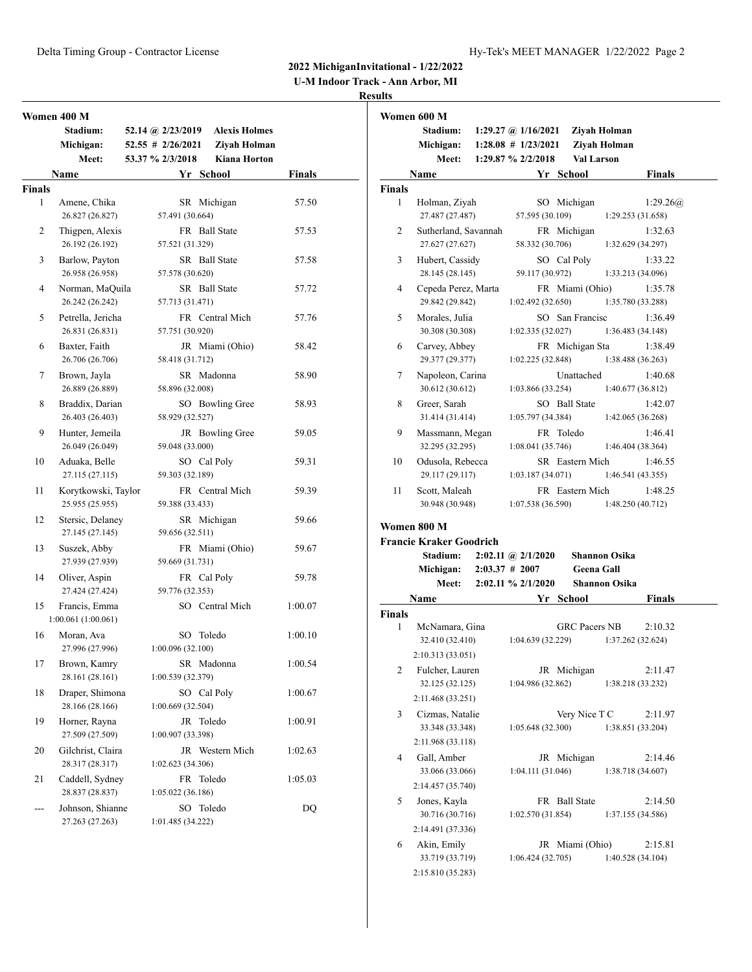**U-M Indoor Track - Ann Arbor, MI**

|                    | Women 400 M                            |                   |                   |                 |                      |               |  |
|--------------------|----------------------------------------|-------------------|-------------------|-----------------|----------------------|---------------|--|
|                    | Stadium:                               | 52.14 @ 2/23/2019 |                   |                 | <b>Alexis Holmes</b> |               |  |
|                    | Michigan:                              | 52.55 # 2/26/2021 |                   |                 | Ziyah Holman         |               |  |
|                    | Meet:                                  | 53.37 % 2/3/2018  |                   |                 | <b>Kiana Horton</b>  |               |  |
|                    | Name                                   |                   |                   | Yr School       |                      | <b>Finals</b> |  |
| <b>Finals</b><br>1 |                                        |                   |                   |                 |                      |               |  |
|                    | Amene, Chika<br>26.827 (26.827)        |                   | 57.491 (30.664)   | SR Michigan     |                      | 57.50         |  |
| 2                  | Thigpen, Alexis<br>26.192 (26.192)     |                   | 57.521 (31.329)   | FR Ball State   |                      | 57.53         |  |
| 3                  | Barlow, Payton<br>26.958 (26.958)      |                   | 57.578 (30.620)   | SR Ball State   |                      | 57.58         |  |
| 4                  | Norman, MaQuila<br>26.242 (26.242)     |                   | 57.713 (31.471)   | SR Ball State   |                      | 57.72         |  |
| 5                  | Petrella, Jericha<br>26.831 (26.831)   |                   | 57.751 (30.920)   | FR Central Mich |                      | 57.76         |  |
| 6                  | Baxter, Faith<br>26.706 (26.706)       |                   | 58.418 (31.712)   | JR Miami (Ohio) |                      | 58.42         |  |
| 7                  | Brown, Jayla<br>26.889 (26.889)        |                   | 58.896 (32.008)   | SR Madonna      |                      | 58.90         |  |
| 8                  | Braddix, Darian<br>26.403 (26.403)     |                   | 58.929 (32.527)   | SO Bowling Gree |                      | 58.93         |  |
| 9                  | Hunter, Jemeila<br>26.049 (26.049)     |                   | 59.048 (33.000)   | JR Bowling Gree |                      | 59.05         |  |
| 10                 | Aduaka, Belle<br>27.115 (27.115)       |                   | 59.303 (32.189)   | SO Cal Poly     |                      | 59.31         |  |
| 11                 | Korytkowski, Taylor<br>25.955 (25.955) |                   | 59.388 (33.433)   | FR Central Mich |                      | 59.39         |  |
| 12                 | Stersic, Delaney<br>27.145 (27.145)    |                   | 59.656 (32.511)   | SR Michigan     |                      | 59.66         |  |
| 13                 | Suszek, Abby<br>27.939 (27.939)        |                   | 59.669 (31.731)   | FR Miami (Ohio) |                      | 59.67         |  |
| 14                 | Oliver, Aspin<br>27.424 (27.424)       |                   | 59.776 (32.353)   | FR Cal Poly     |                      | 59.78         |  |
| 15                 | Francis, Emma<br>1:00.061(1:00.061)    |                   |                   | SO Central Mich |                      | 1:00.07       |  |
| 16                 | Moran, Ava<br>27.996 (27.996)          |                   | 1:00.096 (32.100) | SO Toledo       |                      | 1:00.10       |  |
| 17                 | Brown, Kamry<br>28.161 (28.161)        |                   | 1:00.539 (32.379) | SR Madonna      |                      | 1:00.54       |  |
| 18                 | Draper, Shimona<br>28.166 (28.166)     |                   | 1:00.669 (32.504) | SO Cal Poly     |                      | 1:00.67       |  |
| 19                 | Horner, Rayna<br>27.509 (27.509)       |                   | 1:00.907 (33.398) | JR Toledo       |                      | 1:00.91       |  |
| 20                 | Gilchrist, Claira<br>28.317 (28.317)   |                   | 1:02.623 (34.306) | JR Western Mich |                      | 1:02.63       |  |
| 21                 | Caddell, Sydney<br>28.837 (28.837)     |                   | 1:05.022 (36.186) | FR Toledo       |                      | 1:05.03       |  |
| $---$              | Johnson, Shianne<br>27.263 (27.263)    |                   | 1:01.485 (34.222) | SO Toledo       |                      | DQ            |  |

|              | Women 600 M                             |                                                                        |                      |                              |               |
|--------------|-----------------------------------------|------------------------------------------------------------------------|----------------------|------------------------------|---------------|
|              | Stadium:<br>Michigan:<br>Meet:          | 1:29.27 @ $1/16/2021$<br>$1:28.08$ # $1/23/2021$<br>1:29.87 % 2/2/2018 | <b>Val Larson</b>    | Ziyah Holman<br>Ziyah Holman |               |
|              | Name                                    |                                                                        | Yr School            |                              | <b>Finals</b> |
| Finals       |                                         |                                                                        |                      |                              |               |
| $\mathbf{1}$ | Holman, Ziyah                           |                                                                        | SO Michigan          |                              | 1:29.26(a)    |
|              | 27.487 (27.487)                         | 57.595 (30.109)                                                        |                      | 1:29.253 (31.658)            |               |
| 2            | Sutherland, Savannah<br>27.627 (27.627) | 58.332 (30.706)                                                        | FR Michigan          | 1:32.629 (34.297)            | 1:32.63       |
| 3            | Hubert, Cassidy                         |                                                                        | SO Cal Poly          |                              | 1:33.22       |
|              | 28.145 (28.145)                         | 59.117 (30.972)                                                        |                      | 1:33.213 (34.096)            |               |
| 4            | Cepeda Perez, Marta                     |                                                                        | FR Miami (Ohio)      |                              | 1:35.78       |
|              | 29.842 (29.842)                         | 1:02.492 (32.650)                                                      |                      | 1:35.780 (33.288)            |               |
| 5            | Morales, Julia                          |                                                                        | SO San Francisc      |                              | 1:36.49       |
|              | 30.308 (30.308)                         | 1:02.335(32.027)                                                       |                      | 1:36.483 (34.148)            |               |
| 6            | Carvey, Abbey                           |                                                                        | FR Michigan Sta      |                              | 1:38.49       |
|              | 29.377 (29.377)                         | 1:02.225 (32.848)                                                      |                      | 1:38.488 (36.263)            |               |
| 7            | Napoleon, Carina                        |                                                                        | Unattached           |                              | 1:40.68       |
|              | 30.612 (30.612)                         | 1:03.866(33.254)                                                       |                      | 1:40.677(36.812)             |               |
| 8            | Greer, Sarah                            |                                                                        | SO Ball State        |                              | 1:42.07       |
|              | 31.414 (31.414)                         | 1:05.797(34.384)                                                       |                      | 1:42.065 (36.268)            |               |
| 9            | Massmann, Megan                         |                                                                        | FR Toledo            |                              | 1:46.41       |
|              | 32.295 (32.295)                         | 1:08.041(35.746)                                                       |                      | 1:46.404(38.364)             |               |
| 10           | Odusola, Rebecca                        |                                                                        | SR Eastern Mich      |                              | 1:46.55       |
|              | 29.117 (29.117)                         | 1:03.187(34.071)                                                       |                      | 1:46.541 (43.355)            |               |
| 11           | Scott, Maleah                           |                                                                        | FR Eastern Mich      |                              | 1:48.25       |
|              | 30.948 (30.948)                         | 1:07.538 (36.590)                                                      |                      | 1:48.250(40.712)             |               |
|              | Women 800 M                             |                                                                        |                      |                              |               |
|              | <b>Francie Kraker Goodrich</b>          |                                                                        |                      |                              |               |
|              | <b>Stadium:</b>                         | $2:02.11 \quad \textcircled{a} 2/1/2020$                               |                      | <b>Shannon Osika</b>         |               |
|              | Michigan:                               | $2:03.37 \# 2007$                                                      | <b>Geena Gall</b>    |                              |               |
|              | Meet:                                   | 2:02.11 % 2/1/2020                                                     |                      | <b>Shannon Osika</b>         |               |
|              | Name                                    |                                                                        | Yr School            |                              | <b>Finals</b> |
| Finals       |                                         |                                                                        |                      |                              |               |
| 1            | McNamara, Gina                          |                                                                        | <b>GRC Pacers NB</b> |                              | 2:10.32       |
|              | 32.410 (32.410)                         | 1:04.639 (32.229)                                                      |                      | 1:37.262 (32.624)            |               |
|              | 2:10.313 (33.051)                       |                                                                        |                      |                              |               |
| 2            | Fulcher, Lauren                         |                                                                        | JR Michigan          |                              | 2:11.47       |
|              | 32.125 (32.125)                         | 1:04.986(32.862)                                                       |                      | 1:38.218 (33.232)            |               |
|              | 2:11.468 (33.251)                       |                                                                        |                      |                              |               |
| 3            | Cizmas, Natalie                         |                                                                        | Very Nice T C        |                              | 2:11.97       |
|              | 33.348 (33.348)                         | 1:05.648(32.300)                                                       |                      | 1:38.851 (33.204)            |               |
|              | 2:11.968 (33.118)                       |                                                                        |                      |                              |               |
| 4            | Gall, Amber                             |                                                                        | JR Michigan          |                              | 2:14.46       |
|              | 33.066 (33.066)                         | 1:04.111 (31.046)                                                      |                      | 1:38.718 (34.607)            |               |
|              | 2:14.457 (35.740)                       |                                                                        |                      |                              |               |
| 5            | Jones, Kayla                            |                                                                        | FR Ball State        |                              | 2:14.50       |
|              | 30.716 (30.716)                         | 1:02.570(31.854)                                                       |                      | 1:37.155 (34.586)            |               |
|              | 2:14.491 (37.336)                       |                                                                        |                      |                              |               |
| 6            | Akin, Emily                             |                                                                        | JR Miami (Ohio)      |                              | 2:15.81       |
|              | 33.719 (33.719)                         | 1:06.424(32.705)                                                       |                      | 1:40.528 (34.104)            |               |
|              | 2:15.810 (35.283)                       |                                                                        |                      |                              |               |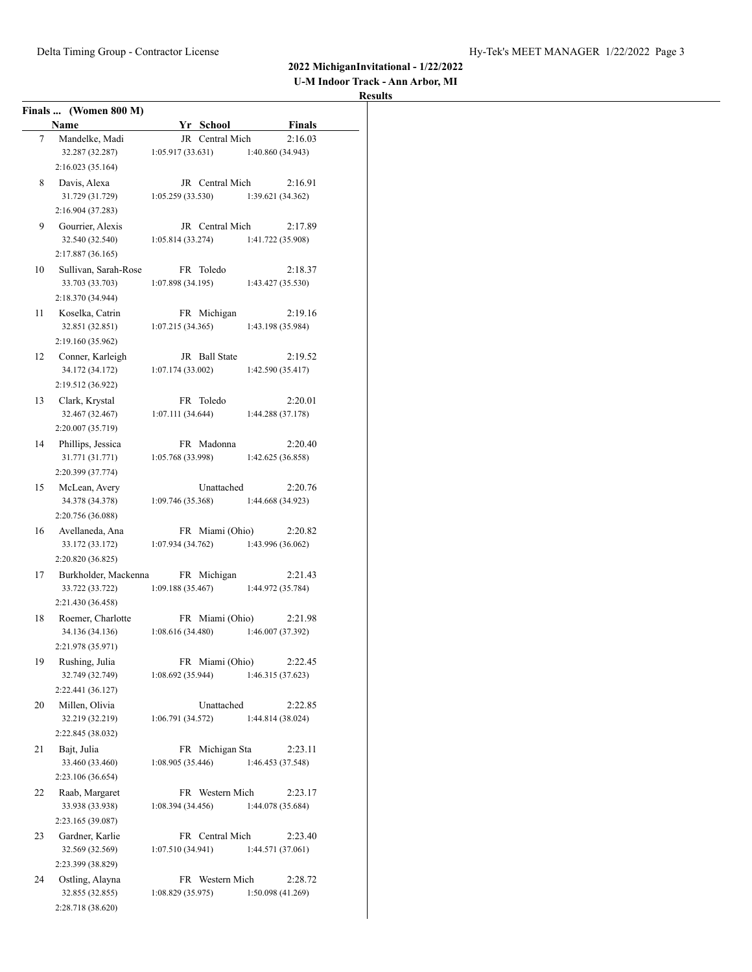| <b>U-M Indoor Track - Ann Arbor, MI</b> |  |  |
|-----------------------------------------|--|--|
|-----------------------------------------|--|--|

|    | Finals  (Women 800 M) |                   |                   |
|----|-----------------------|-------------------|-------------------|
|    | Name                  | Yr School         | <b>Finals</b>     |
| 7  | Mandelke, Madi        | JR Central Mich   | 2:16.03           |
|    | 32.287 (32.287)       | 1:05.917(33.631)  | 1:40.860(34.943)  |
|    | 2:16.023 (35.164)     |                   |                   |
| 8  | Davis, Alexa          | JR Central Mich   | 2:16.91           |
|    | 31.729 (31.729)       | 1:05.259(33.530)  | 1:39.621 (34.362) |
|    | 2:16.904 (37.283)     |                   |                   |
| 9  | Gourrier, Alexis      | JR Central Mich   | 2:17.89           |
|    | 32.540 (32.540)       | 1:05.814(33.274)  | 1:41.722 (35.908) |
|    | 2:17.887(36.165)      |                   |                   |
| 10 | Sullivan, Sarah-Rose  | FR Toledo         | 2:18.37           |
|    | 33.703 (33.703)       | 1:07.898(34.195)  | 1:43.427(35.530)  |
|    | 2:18.370 (34.944)     |                   |                   |
| 11 | Koselka, Catrin       | FR Michigan       | 2:19.16           |
|    | 32.851 (32.851)       | 1:07.215(34.365)  | 1:43.198 (35.984) |
|    | 2:19.160 (35.962)     |                   |                   |
| 12 | Conner, Karleigh      | JR Ball State     | 2:19.52           |
|    | 34.172 (34.172)       | 1:07.174(33.002)  | 1:42.590(35.417)  |
|    | 2:19.512 (36.922)     |                   |                   |
| 13 | Clark, Krystal        | FR Toledo         | 2:20.01           |
|    | 32.467 (32.467)       | 1:07.111(34.644)  | 1:44.288(37.178)  |
|    | 2:20.007 (35.719)     |                   |                   |
| 14 | Phillips, Jessica     | FR Madonna        | 2:20.40           |
|    | 31.771 (31.771)       | 1:05.768 (33.998) | 1:42.625 (36.858) |
|    | 2:20.399 (37.774)     |                   |                   |
| 15 | McLean, Avery         | Unattached        | 2:20.76           |
|    | 34.378 (34.378)       | 1:09.746(35.368)  | 1:44.668 (34.923) |
|    | 2:20.756 (36.088)     |                   |                   |
| 16 | Avellaneda, Ana       | FR Miami (Ohio)   | 2:20.82           |
|    | 33.172 (33.172)       | 1:07.934 (34.762) | 1:43.996 (36.062) |
|    | 2:20.820 (36.825)     |                   |                   |
| 17 | Burkholder, Mackenna  | FR Michigan       | 2:21.43           |
|    | 33.722 (33.722)       | 1:09.188(35.467)  | 1:44.972 (35.784) |
|    | 2:21.430 (36.458)     |                   |                   |
| 18 | Roemer, Charlotte     | FR Miami (Ohio)   | 2:21.98           |
|    | 34.136 (34.136)       | 1:08.616(34.480)  | 1:46.007 (37.392) |
|    | 2:21.978 (35.971)     |                   |                   |
| 19 | Rushing, Julia        | FR Miami (Ohio)   | 2:22.45           |
|    | 32.749 (32.749)       | 1:08.692(35.944)  | 1:46.315 (37.623) |
|    | 2:22.441 (36.127)     |                   |                   |
| 20 | Millen, Olivia        | Unattached        | 2:22.85           |
|    | 32.219 (32.219)       | 1:06.791 (34.572) | 1:44.814 (38.024) |
|    | 2:22.845 (38.032)     |                   |                   |
| 21 | Bajt, Julia           | FR Michigan Sta   | 2:23.11           |
|    | 33.460 (33.460)       | 1:08.905 (35.446) | 1:46.453 (37.548) |
|    | 2:23.106 (36.654)     |                   |                   |
| 22 | Raab, Margaret        | FR Western Mich   | 2:23.17           |
|    | 33.938 (33.938)       | 1:08.394(34.456)  | 1:44.078 (35.684) |
|    | 2:23.165 (39.087)     |                   |                   |
| 23 | Gardner, Karlie       | FR Central Mich   | 2:23.40           |
|    | 32.569 (32.569)       | 1:07.510(34.941)  | 1:44.571(37.061)  |
|    | 2:23.399 (38.829)     |                   |                   |
| 24 | Ostling, Alayna       | FR Western Mich   | 2:28.72           |
|    | 32.855 (32.855)       | 1:08.829 (35.975) | 1:50.098 (41.269) |
|    | 2:28.718 (38.620)     |                   |                   |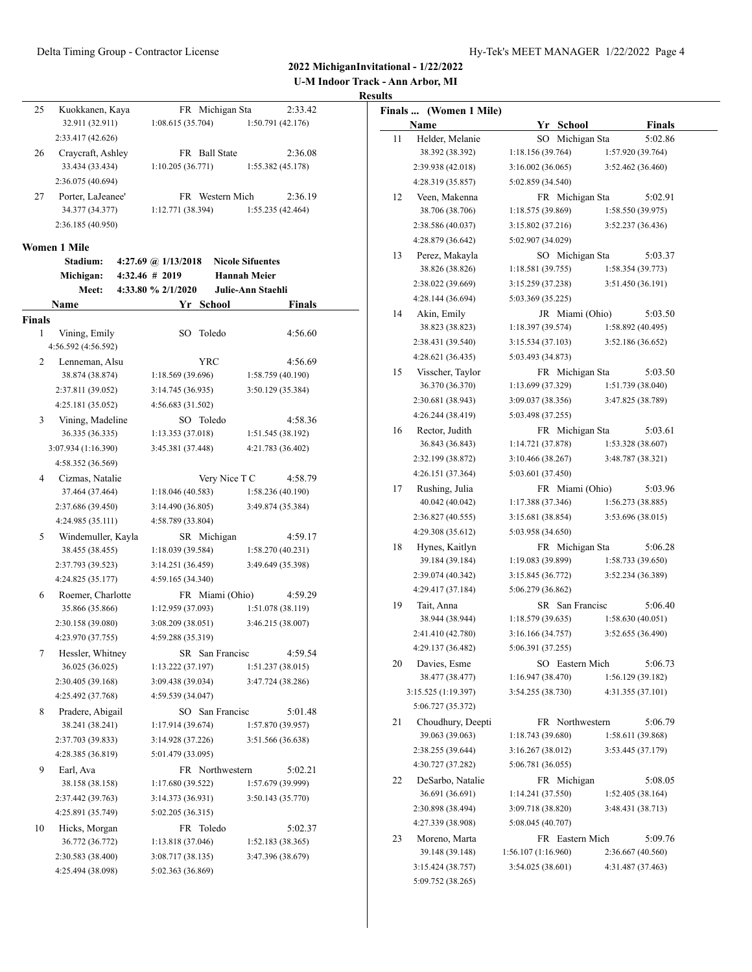**U-M Indoor Track - Ann Arbor, MI**

# **Results**

| 25 | Kuokkanen, Kaya   | FR Michigan Sta        | 2:33.42           |
|----|-------------------|------------------------|-------------------|
|    | 32.911 (32.911)   | 1:08.615(35.704)       | 1:50.791 (42.176) |
|    | 2:33.417 (42.626) |                        |                   |
| 26 | Craycraft, Ashley | <b>FR</b> Ball State   | 2:36.08           |
|    | 33.434 (33.434)   | 1:10.205(36.771)       | 1:55.382 (45.178) |
|    | 2:36.075 (40.694) |                        |                   |
| 27 | Porter, LaJeanee' | <b>FR</b> Western Mich | 2:36.19           |
|    | 34.377 (34.377)   | 1:12.771(38.394)       | 1:55.235(42.464)  |
|    | 2:36.185 (40.950) |                        |                   |

#### **Women 1 Mile**

|                | Stadium:            |                | 4:27.69 @ $1/13/2018$ |                 | <b>Nicole Sifuentes</b>  |         |
|----------------|---------------------|----------------|-----------------------|-----------------|--------------------------|---------|
|                | Michigan:           | 4:32.46 # 2019 |                       |                 | <b>Hannah Meier</b>      |         |
|                | Meet:               |                | 4:33.80 % 2/1/2020    |                 | <b>Julie-Ann Staehli</b> |         |
|                | Name                |                |                       | Yr School       |                          | Finals  |
| <b>Finals</b>  |                     |                |                       |                 |                          |         |
| $\mathbf{1}$   | Vining, Emily       |                | SO.                   | Toledo          |                          | 4:56.60 |
|                | 4:56.592 (4:56.592) |                |                       |                 |                          |         |
| $\overline{c}$ | Lenneman, Alsu      |                |                       | YRC             |                          | 4:56.69 |
|                | 38.874 (38.874)     |                | 1:18.569 (39.696)     |                 | 1:58.759 (40.190)        |         |
|                | 2:37.811 (39.052)   |                | 3:14.745 (36.935)     |                 | 3:50.129 (35.384)        |         |
|                | 4:25.181 (35.052)   |                | 4:56.683 (31.502)     |                 |                          |         |
| 3              | Vining, Madeline    |                |                       | SO Toledo       |                          | 4:58.36 |
|                | 36.335 (36.335)     |                | 1:13.353 (37.018)     |                 | 1:51.545 (38.192)        |         |
|                | 3:07.934 (1:16.390) |                | 3:45.381 (37.448)     |                 | 4:21.783 (36.402)        |         |
|                | 4:58.352 (36.569)   |                |                       |                 |                          |         |
| 4              | Cizmas, Natalie     |                |                       | Very Nice T C   |                          | 4:58.79 |
|                | 37.464 (37.464)     |                | 1:18.046(40.583)      |                 | 1:58.236 (40.190)        |         |
|                | 2:37.686 (39.450)   |                | 3:14.490 (36.805)     |                 | 3:49.874 (35.384)        |         |
|                | 4:24.985 (35.111)   |                | 4:58.789 (33.804)     |                 |                          |         |
| 5              | Windemuller, Kayla  |                |                       | SR Michigan     |                          | 4:59.17 |
|                | 38.455 (38.455)     |                | 1:18.039 (39.584)     |                 | 1:58.270(40.231)         |         |
|                | 2:37.793 (39.523)   |                | 3:14.251 (36.459)     |                 | 3:49.649 (35.398)        |         |
|                | 4:24.825 (35.177)   |                | 4:59.165 (34.340)     |                 |                          |         |
| 6              | Roemer, Charlotte   |                |                       | FR Miami (Ohio) |                          | 4:59.29 |
|                | 35.866 (35.866)     |                | 1:12.959 (37.093)     |                 | 1:51.078 (38.119)        |         |
|                | 2:30.158 (39.080)   |                | 3:08.209 (38.051)     |                 | 3:46.215 (38.007)        |         |
|                | 4:23.970 (37.755)   |                | 4:59.288 (35.319)     |                 |                          |         |
| 7              | Hessler, Whitney    |                |                       | SR San Francisc |                          | 4:59.54 |
|                | 36.025 (36.025)     |                | 1:13.222 (37.197)     |                 | 1:51.237(38.015)         |         |
|                | 2:30.405 (39.168)   |                | 3:09.438 (39.034)     |                 | 3:47.724 (38.286)        |         |
|                | 4:25.492 (37.768)   |                | 4:59.539 (34.047)     |                 |                          |         |
| 8              | Pradere, Abigail    |                |                       | SO San Francisc |                          | 5:01.48 |
|                | 38.241 (38.241)     |                | 1:17.914 (39.674)     |                 | 1:57.870 (39.957)        |         |
|                | 2:37.703 (39.833)   |                | 3:14.928 (37.226)     |                 | 3:51.566 (36.638)        |         |
|                | 4:28.385 (36.819)   |                | 5:01.479 (33.095)     |                 |                          |         |
| 9              | Earl, Ava           |                |                       | FR Northwestern |                          | 5:02.21 |
|                | 38.158 (38.158)     |                | 1:17.680 (39.522)     |                 | 1:57.679 (39.999)        |         |
|                | 2:37.442 (39.763)   |                | 3:14.373 (36.931)     |                 | 3:50.143 (35.770)        |         |
|                | 4:25.891 (35.749)   |                | 5:02.205 (36.315)     |                 |                          |         |
| 10             | Hicks, Morgan       |                |                       | FR Toledo       |                          | 5:02.37 |
|                | 36.772 (36.772)     |                | 1:13.818 (37.046)     |                 | 1:52.183 (38.365)        |         |
|                | 2:30.583 (38.400)   |                | 3:08.717 (38.135)     |                 | 3:47.396 (38.679)        |         |
|                | 4:25.494 (38.098)   |                | 5:02.363 (36.869)     |                 |                          |         |

|    | Finals  (Women 1 Mile)               |                                       |                 |                                        |  |
|----|--------------------------------------|---------------------------------------|-----------------|----------------------------------------|--|
|    | Name                                 |                                       | Yr School       | <b>Finals</b>                          |  |
| 11 | Helder, Melanie                      |                                       | SO Michigan Sta | 5:02.86                                |  |
|    | 38.392 (38.392)                      | 1:18.156 (39.764)                     |                 | 1:57.920 (39.764)                      |  |
|    | 2:39.938 (42.018)                    | 3:16.002(36.065)                      |                 | 3:52.462 (36.460)                      |  |
|    | 4:28.319 (35.857)                    | 5:02.859 (34.540)                     |                 |                                        |  |
| 12 | Veen, Makenna                        |                                       | FR Michigan Sta | 5:02.91                                |  |
|    | 38.706 (38.706)                      | 1:18.575 (39.869)                     |                 | 1:58.550(39.975)                       |  |
|    | 2:38.586 (40.037)                    | 3:15.802(37.216)                      |                 | 3:52.237 (36.436)                      |  |
|    | 4:28.879 (36.642)                    | 5:02.907 (34.029)                     |                 |                                        |  |
| 13 | Perez, Makayla                       |                                       | SO Michigan Sta | 5:03.37                                |  |
|    | 38.826 (38.826)                      | 1:18.581(39.755)                      |                 | 1:58.354(39.773)                       |  |
|    | 2:38.022 (39.669)                    | 3:15.259 (37.238)                     |                 | 3:51.450 (36.191)                      |  |
|    | 4:28.144 (36.694)                    | 5:03.369 (35.225)                     |                 |                                        |  |
| 14 | Akin, Emily                          |                                       | JR Miami (Ohio) | 5:03.50                                |  |
|    | 38.823 (38.823)                      | 1:18.397 (39.574)                     |                 | 1:58.892 (40.495)                      |  |
|    | 2:38.431 (39.540)                    | 3:15.534(37.103)                      |                 | 3:52.186 (36.652)                      |  |
|    | 4:28.621 (36.435)                    | 5:03.493 (34.873)                     |                 |                                        |  |
| 15 | Visscher, Taylor                     |                                       | FR Michigan Sta | 5:03.50                                |  |
|    | 36.370 (36.370)                      | 1:13.699 (37.329)                     |                 | 1:51.739 (38.040)                      |  |
|    | 2:30.681 (38.943)                    | 3:09.037 (38.356)                     |                 | 3:47.825 (38.789)                      |  |
|    | 4:26.244 (38.419)                    | 5:03.498 (37.255)                     |                 |                                        |  |
| 16 | Rector, Judith                       |                                       | FR Michigan Sta | 5:03.61                                |  |
|    | 36.843 (36.843)                      | 1:14.721(37.878)                      |                 | 1:53.328 (38.607)                      |  |
|    | 2:32.199 (38.872)                    | 3:10.466 (38.267)                     |                 | 3:48.787 (38.321)                      |  |
|    | 4:26.151 (37.364)                    | 5:03.601 (37.450)                     |                 |                                        |  |
| 17 | Rushing, Julia                       |                                       | FR Miami (Ohio) | 5:03.96                                |  |
|    | 40.042 (40.042)                      | 1:17.388(37.346)                      |                 | 1:56.273(38.885)                       |  |
|    | 2:36.827 (40.555)                    | 3:15.681 (38.854)                     |                 | 3:53.696 (38.015)                      |  |
|    | 4:29.308 (35.612)                    | 5:03.958 (34.650)                     |                 |                                        |  |
| 18 | Hynes, Kaitlyn                       |                                       | FR Michigan Sta | 5:06.28                                |  |
|    | 39.184 (39.184)                      | 1:19.083 (39.899)                     |                 | 1:58.733(39.650)                       |  |
|    | 2:39.074 (40.342)                    | 3:15.845 (36.772)                     |                 | 3:52.234 (36.389)                      |  |
|    | 4:29.417 (37.184)                    | 5:06.279 (36.862)                     |                 |                                        |  |
| 19 | Tait, Anna                           |                                       | SR San Francisc | 5:06.40                                |  |
|    | 38.944 (38.944)                      | 1:18.579(39.635)                      |                 | 1:58.630(40.051)                       |  |
|    | 2:41.410 (42.780)                    | 3:16.166 (34.757)                     |                 | 3:52.655 (36.490)                      |  |
|    | 4:29.137 (36.482)                    | 5:06.391 (37.255)                     |                 |                                        |  |
| 20 | Davies, Esme                         |                                       | SO Eastern Mich | 5:06.73                                |  |
|    | 38.477 (38.477)                      | 1:16.947(38.470)                      |                 | 1:56.129(39.182)                       |  |
|    | 3:15.525 (1:19.397)                  | 3:54.255 (38.730)                     |                 | 4:31.355 (37.101)                      |  |
|    | 5:06.727 (35.372)                    |                                       |                 |                                        |  |
| 21 | Choudhury, Deepti<br>39.063 (39.063) |                                       | FR Northwestern | 5:06.79                                |  |
|    | 2:38.255 (39.644)                    | 1:18.743 (39.680)                     |                 | 1:58.611 (39.868)<br>3:53.445 (37.179) |  |
|    |                                      | 3:16.267(38.012)<br>5:06.781 (36.055) |                 |                                        |  |
|    | 4:30.727 (37.282)                    |                                       |                 |                                        |  |
| 22 | DeSarbo, Natalie                     |                                       | FR Michigan     | 5:08.05                                |  |
|    | 36.691 (36.691)                      | 1:14.241(37.550)                      |                 | 1:52.405 (38.164)                      |  |
|    | 2:30.898 (38.494)                    | 3:09.718 (38.820)                     |                 | 3:48.431 (38.713)                      |  |
|    | 4:27.339 (38.908)                    | 5:08.045 (40.707)                     |                 |                                        |  |
| 23 | Moreno, Marta<br>39.148 (39.148)     | 1:56.107(1:16.960)                    | FR Eastern Mich | 5:09.76<br>2:36.667 (40.560)           |  |
|    | 3:15.424 (38.757)                    | 3:54.025 (38.601)                     |                 | 4:31.487 (37.463)                      |  |
|    | 5:09.752 (38.265)                    |                                       |                 |                                        |  |
|    |                                      |                                       |                 |                                        |  |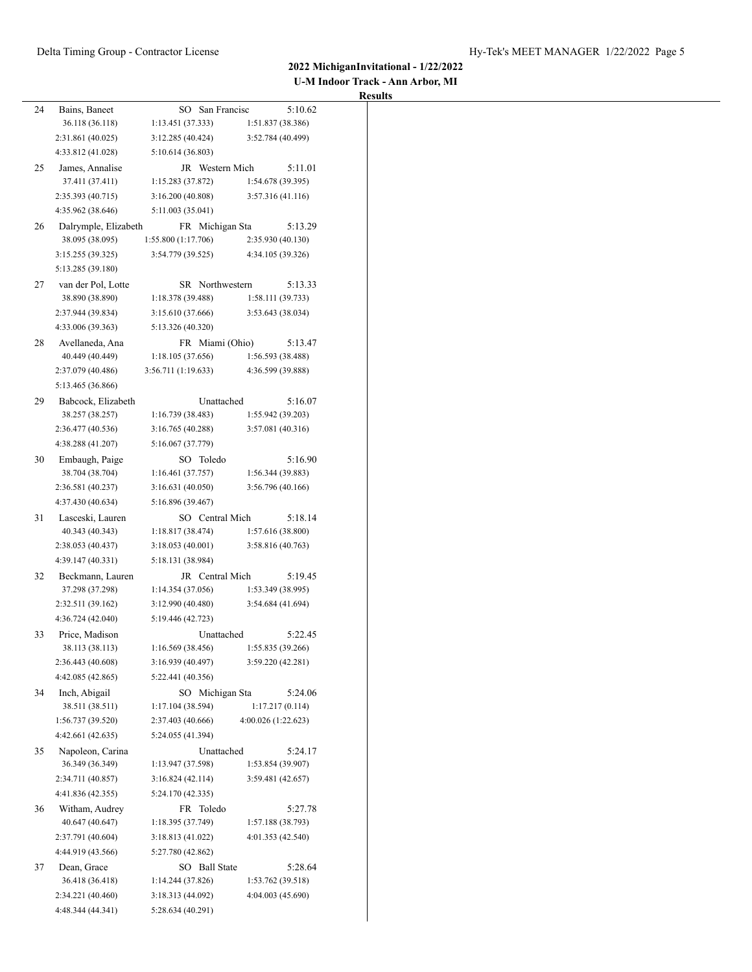| <b>U-M Indoor Track - Ann Arbor, MI</b> |  |  |  |
|-----------------------------------------|--|--|--|
|-----------------------------------------|--|--|--|

| 24 | Bains, Baneet        | SO San Francisc     | 5:10.62             |
|----|----------------------|---------------------|---------------------|
|    | 36.118 (36.118)      | 1:13.451 (37.333)   | 1:51.837 (38.386)   |
|    | 2:31.861 (40.025)    | 3:12.285(40.424)    | 3:52.784 (40.499)   |
|    | 4:33.812 (41.028)    | 5:10.614 (36.803)   |                     |
| 25 | James, Annalise      | JR Western Mich     | 5:11.01             |
|    | 37.411 (37.411)      | 1:15.283 (37.872)   | 1:54.678 (39.395)   |
|    | 2:35.393 (40.715)    | 3:16.200(40.808)    | 3:57.316(41.116)    |
|    | 4:35.962 (38.646)    | 5:11.003 (35.041)   |                     |
| 26 | Dalrymple, Elizabeth | FR Michigan Sta     | 5:13.29             |
|    | 38.095 (38.095)      | 1:55.800 (1:17.706) | 2:35.930 (40.130)   |
|    | 3:15.255 (39.325)    | 3:54.779 (39.525)   | 4:34.105 (39.326)   |
|    | 5:13.285 (39.180)    |                     |                     |
| 27 | van der Pol, Lotte   | SR Northwestern     | 5:13.33             |
|    | 38.890 (38.890)      | 1:18.378 (39.488)   | 1:58.111 (39.733)   |
|    | 2:37.944 (39.834)    | 3:15.610 (37.666)   | 3:53.643 (38.034)   |
|    | 4:33.006 (39.363)    | 5:13.326 (40.320)   |                     |
| 28 | Avellaneda, Ana      | FR Miami (Ohio)     | 5:13.47             |
|    | 40.449 (40.449)      | 1:18.105(37.656)    | 1:56.593 (38.488)   |
|    | 2:37.079 (40.486)    | 3:56.711(1:19.633)  | 4:36.599 (39.888)   |
|    | 5:13.465 (36.866)    |                     |                     |
| 29 | Babcock, Elizabeth   | Unattached          | 5:16.07             |
|    | 38.257 (38.257)      | 1:16.739(38.483)    | 1:55.942 (39.203)   |
|    | 2:36.477 (40.536)    | 3:16.765 (40.288)   | 3:57.081 (40.316)   |
|    | 4:38.288 (41.207)    | 5:16.067 (37.779)   |                     |
| 30 | Embaugh, Paige       | SO Toledo           | 5:16.90             |
|    | 38.704 (38.704)      | 1:16.461 (37.757)   | 1:56.344(39.883)    |
|    | 2:36.581 (40.237)    | 3:16.631(40.050)    | 3:56.796 (40.166)   |
|    | 4:37.430 (40.634)    | 5:16.896 (39.467)   |                     |
| 31 | Lasceski, Lauren     | SO Central Mich     | 5:18.14             |
|    | 40.343 (40.343)      | 1:18.817 (38.474)   | 1:57.616 (38.800)   |
|    | 2:38.053 (40.437)    | 3:18.053(40.001)    | 3:58.816(40.763)    |
|    | 4:39.147 (40.331)    | 5:18.131 (38.984)   |                     |
| 32 | Beckmann, Lauren     | JR Central Mich     | 5:19.45             |
|    | 37.298 (37.298)      | 1:14.354(37.056)    | 1:53.349 (38.995)   |
|    | 2:32.511 (39.162)    | 3:12.990(40.480)    | 3:54.684 (41.694)   |
|    | 4:36.724 (42.040)    | 5:19.446 (42.723)   |                     |
| 33 | Price, Madison       | Unattached          | 5:22.45             |
|    | 38.113 (38.113)      | 1:16.569(38.456)    | 1:55.835 (39.266)   |
|    | 2:36.443 (40.608)    | 3:16.939 (40.497)   | 3:59.220 (42.281)   |
|    | 4:42.085 (42.865)    | 5:22.441 (40.356)   |                     |
| 34 | Inch, Abigail        | SO Michigan Sta     | 5:24.06             |
|    | 38.511 (38.511)      | 1:17.104 (38.594)   | 1:17.217(0.114)     |
|    | 1:56.737 (39.520)    | 2:37.403 (40.666)   | 4:00.026 (1:22.623) |
|    | 4:42.661 (42.635)    | 5:24.055 (41.394)   |                     |
| 35 | Napoleon, Carina     | Unattached          | 5:24.17             |
|    | 36.349 (36.349)      | 1:13.947 (37.598)   | 1:53.854 (39.907)   |
|    | 2:34.711 (40.857)    | 3:16.824(42.114)    | 3:59.481 (42.657)   |
|    | 4:41.836 (42.355)    | 5:24.170 (42.335)   |                     |
| 36 | Witham, Audrey       | FR Toledo           | 5:27.78             |
|    | 40.647 (40.647)      | 1:18.395 (37.749)   | 1:57.188 (38.793)   |
|    | 2:37.791 (40.604)    | 3:18.813(41.022)    | 4:01.353 (42.540)   |
|    | 4:44.919 (43.566)    | 5:27.780 (42.862)   |                     |
| 37 | Dean, Grace          | SO Ball State       | 5:28.64             |
|    | 36.418 (36.418)      | 1:14.244 (37.826)   | 1:53.762 (39.518)   |
|    |                      |                     |                     |
|    | 2:34.221 (40.460)    | 3:18.313 (44.092)   | 4:04.003 (45.690)   |
|    | 4:48.344 (44.341)    | 5:28.634(40.291)    |                     |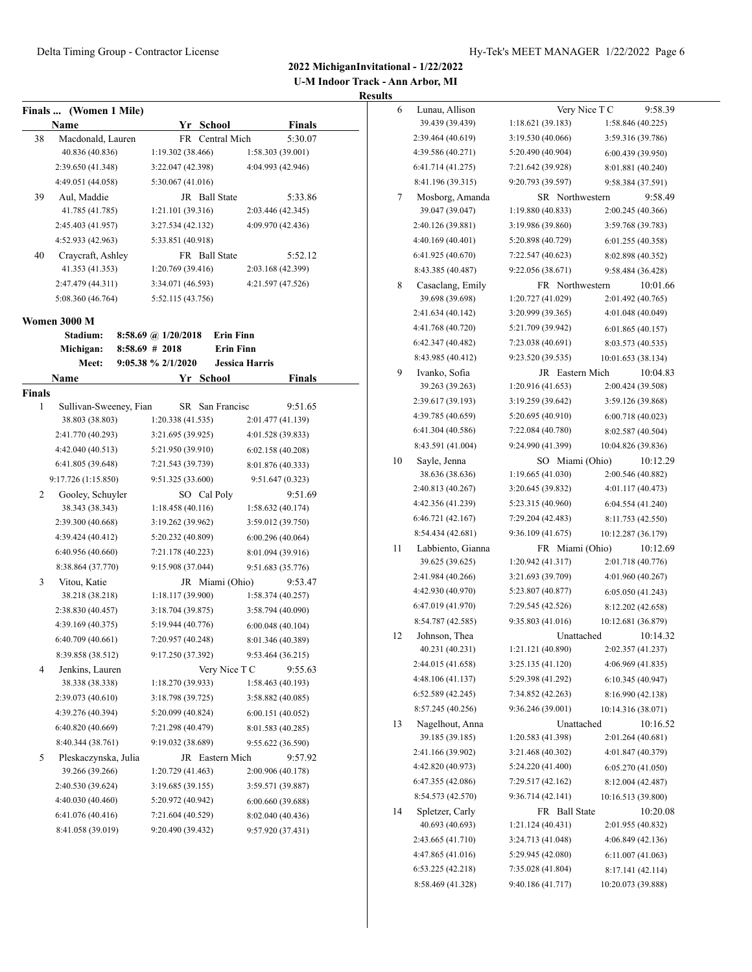**U-M Indoor Track - Ann Arbor, MI**

|        | Finals  (Women 1 Mile) |                     |                       |                   |               |
|--------|------------------------|---------------------|-----------------------|-------------------|---------------|
|        | Name                   | Yr School           |                       |                   | <b>Finals</b> |
| 38     | Macdonald, Lauren      | FR                  | Central Mich          |                   | 5:30.07       |
|        | 40.836 (40.836)        | 1:19.302 (38.466)   |                       | 1:58.303 (39.001) |               |
|        | 2:39.650 (41.348)      | 3:22.047 (42.398)   |                       | 4:04.993 (42.946) |               |
|        | 4:49.051 (44.058)      | 5:30.067 (41.016)   |                       |                   |               |
| 39     | Aul, Maddie            |                     | JR Ball State         |                   | 5:33.86       |
|        | 41.785 (41.785)        | 1:21.101 (39.316)   |                       | 2:03.446 (42.345) |               |
|        | 2:45.403 (41.957)      | 3:27.534 (42.132)   |                       | 4:09.970 (42.436) |               |
|        | 4:52.933 (42.963)      | 5:33.851 (40.918)   |                       |                   |               |
| 40     | Craycraft, Ashley      |                     | FR Ball State         |                   | 5:52.12       |
|        | 41.353 (41.353)        | 1:20.769 (39.416)   |                       | 2:03.168 (42.399) |               |
|        | 2:47.479 (44.311)      | 3:34.071 (46.593)   |                       | 4:21.597 (47.526) |               |
|        | 5:08.360 (46.764)      | 5:52.115 (43.756)   |                       |                   |               |
|        | Women 3000 M           |                     |                       |                   |               |
|        | Stadium:               | 8:58.69 @ 1/20/2018 | <b>Erin Finn</b>      |                   |               |
|        | Michigan:              | $8:58.69$ # 2018    | <b>Erin Finn</b>      |                   |               |
|        | Meet:                  | 9:05.38 % 2/1/2020  | <b>Jessica Harris</b> |                   |               |
|        | Name                   | Yr                  | School                |                   | Finals        |
| Finals |                        |                     |                       |                   |               |
| 1      | Sullivan-Sweeney, Fian |                     | SR San Francisc       |                   | 9:51.65       |
|        | 38.803 (38.803)        | 1:20.338 (41.535)   |                       | 2:01.477 (41.139) |               |
|        | 2:41.770 (40.293)      | 3:21.695 (39.925)   |                       | 4:01.528 (39.833) |               |
|        | 4:42.040 (40.513)      | 5:21.950 (39.910)   |                       | 6:02.158(40.208)  |               |
|        | 6:41.805 (39.648)      | 7:21.543 (39.739)   |                       | 8:01.876 (40.333) |               |
|        | 9:17.726 (1:15.850)    | 9:51.325 (33.600)   |                       | 9:51.647 (0.323)  |               |
| 2      | Gooley, Schuyler       |                     | SO Cal Poly           | 9:51.69           |               |
|        | 38.343 (38.343)        | 1:18.458 (40.116)   |                       | 1:58.632 (40.174) |               |
|        | 2:39.300 (40.668)      | 3:19.262 (39.962)   |                       | 3:59.012 (39.750) |               |
|        | 4:39.424 (40.412)      | 5:20.232 (40.809)   |                       | 6:00.296(40.064)  |               |
|        | 6:40.956 (40.660)      | 7:21.178 (40.223)   |                       | 8:01.094 (39.916) |               |
|        | 8:38.864 (37.770)      | 9:15.908 (37.044)   |                       | 9:51.683 (35.776) |               |
| 3      | Vitou, Katie           |                     | JR Miami (Ohio)       |                   | 9:53.47       |
|        | 38.218 (38.218)        | 1:18.117 (39.900)   |                       | 1:58.374 (40.257) |               |
|        | 2:38.830 (40.457)      | 3:18.704 (39.875)   |                       | 3:58.794 (40.090) |               |
|        | 4:39.169 (40.375)      | 5:19.944 (40.776)   |                       | 6:00.048(40.104)  |               |
|        | 6:40.709(40.661)       | 7:20.957 (40.248)   |                       | 8:01.346 (40.389) |               |
|        | 8:39.858 (38.512)      | 9:17.250 (37.392)   |                       | 9:53.464 (36.215) |               |
| 4      | Jenkins, Lauren        |                     | Very Nice T C         | 9:55.63           |               |
|        | 38.338 (38.338)        | 1:18.270 (39.933)   |                       | 1:58.463 (40.193) |               |
|        | 2:39.073 (40.610)      | 3:18.798 (39.725)   |                       | 3:58.882 (40.085) |               |
|        | 4:39.276 (40.394)      | 5:20.099 (40.824)   |                       | 6:00.151(40.052)  |               |
|        | 6:40.820(40.669)       | 7:21.298 (40.479)   |                       | 8:01.583 (40.285) |               |
|        | 8:40.344 (38.761)      | 9:19.032 (38.689)   |                       | 9:55.622 (36.590) |               |
| 5      | Pleskaczynska, Julia   |                     | JR Eastern Mich       | 9:57.92           |               |
|        | 39.266 (39.266)        | 1:20.729 (41.463)   |                       | 2:00.906 (40.178) |               |
|        | 2:40.530 (39.624)      | 3:19.685 (39.155)   |                       | 3:59.571 (39.887) |               |
|        | 4:40.030 (40.460)      | 5:20.972 (40.942)   |                       | 6:00.660 (39.688) |               |
|        | 6:41.076(40.416)       | 7:21.604 (40.529)   |                       | 8:02.040 (40.436) |               |
|        | 8:41.058 (39.019)      | 9:20.490 (39.432)   |                       | 9:57.920 (37.431) |               |
|        |                        |                     |                       |                   |               |

| 6  | Lunau, Allison    | Very Nice T C     | 9:58.39            |
|----|-------------------|-------------------|--------------------|
|    | 39.439 (39.439)   | 1:18.621(39.183)  | 1:58.846 (40.225)  |
|    | 2:39.464 (40.619) | 3:19.530 (40.066) | 3:59.316 (39.786)  |
|    | 4:39.586 (40.271) | 5:20.490 (40.904) | 6:00.439(39.950)   |
|    | 6:41.714 (41.275) | 7:21.642 (39.928) | 8:01.881 (40.240)  |
|    | 8:41.196 (39.315) | 9:20.793 (39.597) | 9:58.384 (37.591)  |
| 7  | Mosborg, Amanda   | SR Northwestern   | 9:58.49            |
|    | 39.047 (39.047)   | 1:19.880 (40.833) | 2:00.245 (40.366)  |
|    | 2:40.126 (39.881) | 3:19.986 (39.860) | 3:59.768 (39.783)  |
|    | 4:40.169 (40.401) | 5:20.898 (40.729) | 6:01.255(40.358)   |
|    | 6:41.925 (40.670) | 7:22.547 (40.623) | 8:02.898 (40.352)  |
|    | 8:43.385 (40.487) | 9:22.056 (38.671) | 9:58.484 (36.428)  |
| 8  | Casaclang, Emily  | FR Northwestern   | 10:01.66           |
|    | 39.698 (39.698)   | 1:20.727 (41.029) | 2:01.492 (40.765)  |
|    | 2:41.634 (40.142) | 3:20.999 (39.365) | 4:01.048 (40.049)  |
|    | 4:41.768 (40.720) | 5:21.709 (39.942) | 6:01.865(40.157)   |
|    | 6:42.347 (40.482) | 7:23.038 (40.691) | 8:03.573 (40.535)  |
|    | 8:43.985 (40.412) | 9:23.520 (39.535) | 10:01.653 (38.134) |
| 9  | Ivanko, Sofia     | JR Eastern Mich   | 10:04.83           |
|    | 39.263 (39.263)   | 1:20.916 (41.653) | 2:00.424 (39.508)  |
|    | 2:39.617 (39.193) | 3:19.259 (39.642) | 3:59.126 (39.868)  |
|    | 4:39.785 (40.659) | 5:20.695 (40.910) | 6:00.718(40.023)   |
|    | 6:41.304 (40.586) | 7:22.084 (40.780) | 8:02.587 (40.504)  |
|    | 8:43.591 (41.004) | 9:24.990 (41.399) | 10:04.826 (39.836) |
| 10 | Sayle, Jenna      | SO Miami (Ohio)   | 10:12.29           |
|    | 38.636 (38.636)   | 1:19.665(41.030)  | 2:00.546 (40.882)  |
|    | 2:40.813 (40.267) | 3:20.645 (39.832) | 4:01.117 (40.473)  |
|    | 4:42.356 (41.239) | 5:23.315 (40.960) | 6:04.554(41.240)   |
|    | 6:46.721 (42.167) | 7:29.204 (42.483) | 8:11.753 (42.550)  |
|    | 8:54.434 (42.681) | 9:36.109 (41.675) | 10:12.287 (36.179) |
| 11 | Labbiento, Gianna | FR Miami (Ohio)   | 10:12.69           |
|    | 39.625 (39.625)   | 1:20.942 (41.317) | 2:01.718 (40.776)  |
|    | 2:41.984 (40.266) | 3:21.693 (39.709) | 4:01.960 (40.267)  |
|    | 4:42.930 (40.970) | 5:23.807 (40.877) | 6:05.050(41.243)   |
|    | 6:47.019 (41.970) | 7:29.545 (42.526) | 8:12.202 (42.658)  |
|    | 8:54.787 (42.585) | 9:35.803 (41.016) | 10:12.681 (36.879) |
| 12 | Johnson, Thea     | Unattached        | 10:14.32           |
|    | 40.231 (40.231)   | 1:21.121 (40.890) | 2:02.357 (41.237)  |
|    | 2:44.015 (41.658) | 3:25.135 (41.120) | 4:06.969 (41.835)  |
|    | 4:48.106 (41.137) | 5:29.398 (41.292) | 6:10.345 (40.947)  |
|    | 6:52.589(42.245)  | 7:34.852 (42.263) | 8:16.990 (42.138)  |
|    | 8:57.245 (40.256) | 9:36.246 (39.001) | 10:14.316 (38.071) |
| 13 | Nagelhout, Anna   | Unattached        | 10:16.52           |
|    | 39.185 (39.185)   | 1:20.583 (41.398) | 2:01.264 (40.681)  |
|    | 2:41.166 (39.902) | 3:21.468 (40.302) | 4:01.847 (40.379)  |
|    | 4:42.820 (40.973) | 5:24.220 (41.400) | 6:05.270 (41.050)  |
|    | 6:47.355 (42.086) | 7:29.517 (42.162) | 8:12.004 (42.487)  |
|    | 8:54.573 (42.570) | 9:36.714 (42.141) | 10:16.513 (39.800) |
| 14 | Spletzer, Carly   | FR Ball State     | 10:20.08           |
|    | 40.693 (40.693)   | 1:21.124 (40.431) | 2:01.955 (40.832)  |
|    | 2:43.665 (41.710) | 3:24.713 (41.048) | 4:06.849 (42.136)  |
|    | 4:47.865 (41.016) | 5:29.945 (42.080) | 6:11.007(41.063)   |
|    | 6:53.225(42.218)  | 7:35.028 (41.804) | 8:17.141 (42.114)  |
|    | 8:58.469 (41.328) | 9:40.186 (41.717) | 10:20.073 (39.888) |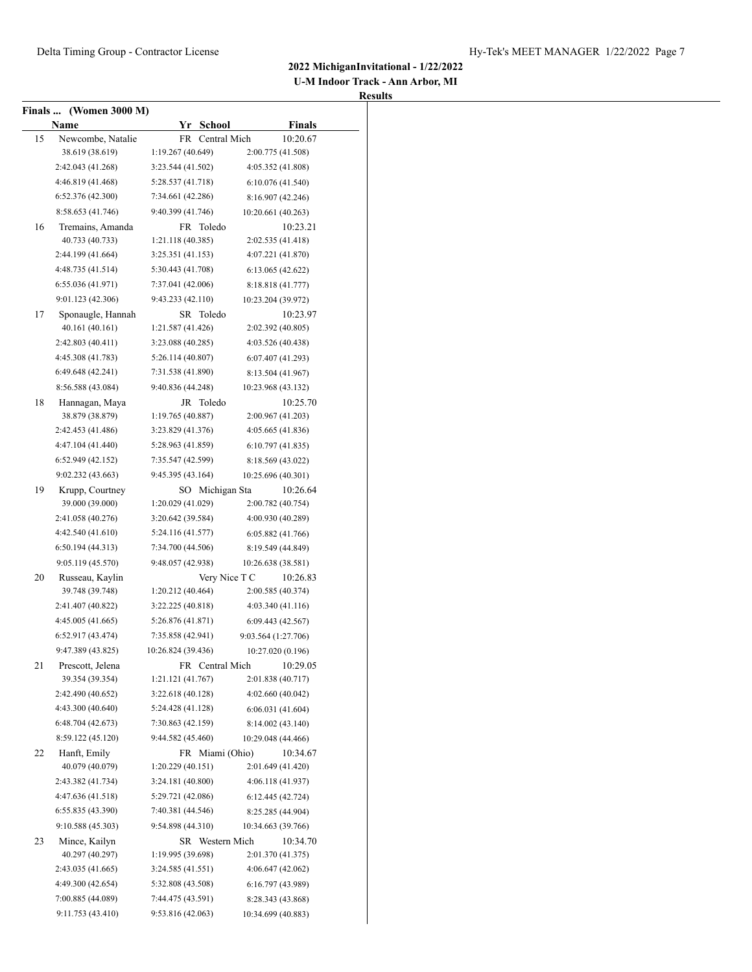**U-M Indoor Track - Ann Arbor, MI**

|    | Finals  (Women 3000 M)<br>Name | Yr School          | <b>Finals</b>       |
|----|--------------------------------|--------------------|---------------------|
| 15 | Newcombe, Natalie              | FR Central Mich    | 10:20.67            |
|    | 38.619 (38.619)                | 1:19.267 (40.649)  | 2:00.775 (41.508)   |
|    | 2:42.043 (41.268)              | 3:23.544 (41.502)  | 4:05.352 (41.808)   |
|    | 4:46.819 (41.468)              | 5:28.537 (41.718)  | 6:10.076 (41.540)   |
|    | 6:52.376(42.300)               | 7:34.661 (42.286)  | 8:16.907 (42.246)   |
|    | 8:58.653 (41.746)              | 9:40.399 (41.746)  | 10:20.661 (40.263)  |
| 16 | Tremains, Amanda               | FR Toledo          | 10:23.21            |
|    | 40.733 (40.733)                | 1:21.118 (40.385)  | 2:02.535 (41.418)   |
|    | 2:44.199 (41.664)              | 3:25.351(41.153)   | 4:07.221 (41.870)   |
|    | 4:48.735 (41.514)              | 5:30.443 (41.708)  | 6:13.065(42.622)    |
|    | 6:55.036 (41.971)              | 7:37.041 (42.006)  | 8:18.818 (41.777)   |
|    | 9:01.123 (42.306)              | 9:43.233 (42.110)  | 10:23.204 (39.972)  |
| 17 | Sponaugle, Hannah              | SR Toledo          | 10:23.97            |
|    | 40.161 (40.161)                | 1:21.587 (41.426)  | 2:02.392 (40.805)   |
|    | 2:42.803 (40.411)              | 3:23.088 (40.285)  | 4:03.526 (40.438)   |
|    | 4:45.308 (41.783)              | 5:26.114 (40.807)  | 6:07.407 (41.293)   |
|    | 6:49.648 (42.241)              | 7:31.538 (41.890)  | 8:13.504 (41.967)   |
|    | 8:56.588 (43.084)              | 9:40.836 (44.248)  | 10:23.968 (43.132)  |
| 18 | Hannagan, Maya                 | JR Toledo          | 10:25.70            |
|    | 38.879 (38.879)                | 1:19.765 (40.887)  | 2:00.967 (41.203)   |
|    | 2:42.453 (41.486)              | 3:23.829 (41.376)  | 4:05.665 (41.836)   |
|    | 4:47.104 (41.440)              | 5:28.963 (41.859)  | 6:10.797(41.835)    |
|    | 6:52.949(42.152)               | 7:35.547 (42.599)  | 8:18.569 (43.022)   |
|    | 9:02.232 (43.663)              | 9:45.395 (43.164)  | 10:25.696 (40.301)  |
| 19 | Krupp, Courtney                | SO Michigan Sta    | 10:26.64            |
|    | 39.000 (39.000)                | 1:20.029 (41.029)  | 2:00.782 (40.754)   |
|    | 2:41.058 (40.276)              | 3:20.642 (39.584)  | 4:00.930 (40.289)   |
|    | 4:42.540 (41.610)              | 5:24.116 (41.577)  | 6:05.882(41.766)    |
|    | 6:50.194 (44.313)              | 7:34.700 (44.506)  | 8:19.549 (44.849)   |
|    | 9:05.119 (45.570)              | 9:48.057 (42.938)  | 10:26.638 (38.581)  |
| 20 | Russeau, Kaylin                | Very Nice T C      | 10:26.83            |
|    | 39.748 (39.748)                | 1:20.212 (40.464)  | 2:00.585 (40.374)   |
|    | 2:41.407 (40.822)              | 3:22.225 (40.818)  | 4:03.340 (41.116)   |
|    | 4:45.005 (41.665)              | 5:26.876 (41.871)  | 6:09.443 (42.567)   |
|    | 6:52.917 (43.474)              | 7:35.858 (42.941)  | 9:03.564 (1:27.706) |
|    | 9:47.389 (43.825)              | 10:26.824 (39.436) | 10:27.020 (0.196)   |
| 21 | Prescott, Jelena               | FR Central Mich    | 10:29.05            |
|    | 39.354 (39.354)                | 1:21.121 (41.767)  | 2:01.838 (40.717)   |
|    | 2:42.490 (40.652)              | 3:22.618(40.128)   | 4:02.660 (40.042)   |
|    | 4:43.300 (40.640)              | 5:24.428 (41.128)  | 6:06.031(41.604)    |
|    | 6:48.704(42.673)               | 7:30.863 (42.159)  | 8:14.002 (43.140)   |
|    | 8:59.122 (45.120)              | 9:44.582 (45.460)  | 10:29.048 (44.466)  |
| 22 | Hanft, Emily                   | FR Miami (Ohio)    | 10:34.67            |
|    | 40.079 (40.079)                | 1:20.229(40.151)   | 2:01.649 (41.420)   |
|    | 2:43.382 (41.734)              | 3:24.181 (40.800)  | 4:06.118 (41.937)   |
|    | 4:47.636 (41.518)              | 5:29.721 (42.086)  | 6:12.445 (42.724)   |
|    | 6:55.835(43.390)               | 7:40.381 (44.546)  | 8:25.285 (44.904)   |
|    | 9:10.588 (45.303)              | 9:54.898 (44.310)  | 10:34.663 (39.766)  |
| 23 | Mince, Kailyn                  | SR Western Mich    | 10:34.70            |
|    | 40.297 (40.297)                | 1:19.995 (39.698)  | 2:01.370 (41.375)   |
|    | 2:43.035 (41.665)              | 3:24.585 (41.551)  | 4:06.647 (42.062)   |
|    | 4:49.300 (42.654)              | 5:32.808 (43.508)  | 6:16.797 (43.989)   |
|    | 7:00.885 (44.089)              | 7:44.475 (43.591)  | 8:28.343 (43.868)   |
|    | 9:11.753 (43.410)              | 9:53.816(42.063)   | 10:34.699 (40.883)  |
|    |                                |                    |                     |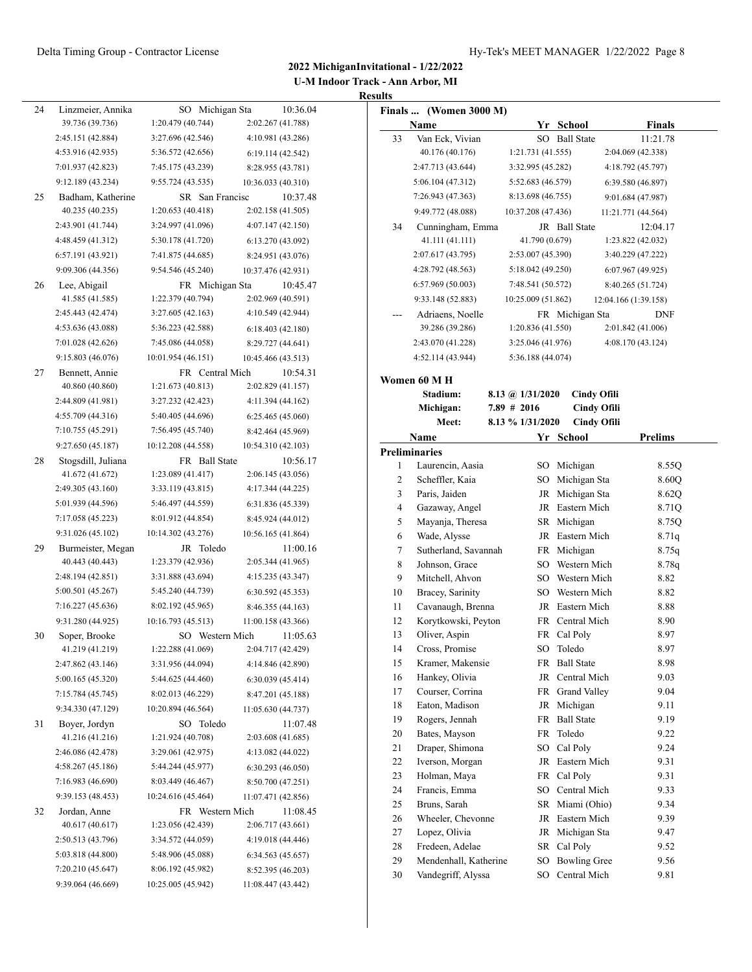**U-M Indoor Track - Ann Arbor, MI Results**

| 24 | Linzmeier, Annika                | SO Michigan Sta                      | 10:36.04                               |                | Finals  (Women 3000 M)                   |                    |                                 |                      |
|----|----------------------------------|--------------------------------------|----------------------------------------|----------------|------------------------------------------|--------------------|---------------------------------|----------------------|
|    | 39.736 (39.736)                  | 1:20.479(40.744)                     | 2:02.267 (41.788)                      |                | Name                                     |                    | Yr School                       | <b>Finals</b>        |
|    | 2:45.151 (42.884)                | 3:27.696 (42.546)                    | 4:10.981 (43.286)                      | 33             | Van Eck, Vivian                          |                    | SO Ball State                   | 11:21.78             |
|    | 4:53.916 (42.935)                | 5:36.572 (42.656)                    | 6:19.114(42.542)                       |                | 40.176 (40.176)                          | 1:21.731 (41.555)  |                                 | 2:04.069 (42.338)    |
|    | 7:01.937 (42.823)                | 7:45.175 (43.239)                    | 8:28.955 (43.781)                      |                | 2:47.713 (43.644)                        | 3:32.995 (45.282)  |                                 | 4:18.792 (45.797)    |
|    | 9:12.189 (43.234)                | 9:55.724(43.535)                     | 10:36.033 (40.310)                     |                | 5:06.104 (47.312)                        | 5:52.683 (46.579)  |                                 | 6:39.580 (46.897)    |
| 25 | Badham, Katherine                | SR San Francisc                      | 10:37.48                               |                | 7:26.943 (47.363)                        | 8:13.698 (46.755)  |                                 | 9:01.684 (47.987)    |
|    | 40.235 (40.235)                  | 1:20.653(40.418)                     | 2:02.158 (41.505)                      |                | 9:49.772 (48.088)                        | 10:37.208 (47.436) |                                 | 11:21.771 (44.564)   |
|    | 2:43.901 (41.744)                | 3:24.997 (41.096)                    | 4:07.147(42.150)                       | 34             | Cunningham, Emma                         |                    | JR Ball State                   | 12:04.17             |
|    | 4:48.459 (41.312)                | 5:30.178 (41.720)                    | 6:13.270(43.092)                       |                | 41.111 (41.111)                          | 41.790 (0.679)     |                                 | 1:23.822 (42.032)    |
|    | 6:57.191(43.921)                 | 7:41.875 (44.685)                    | 8:24.951 (43.076)                      |                | 2:07.617 (43.795)                        | 2:53.007 (45.390)  |                                 | 3:40.229 (47.222)    |
|    | 9:09.306 (44.356)                | 9:54.546 (45.240)                    | 10:37.476 (42.931)                     |                | 4:28.792 (48.563)                        | 5:18.042 (49.250)  |                                 | 6:07.967(49.925)     |
| 26 | Lee, Abigail                     | FR Michigan Sta                      | 10:45.47                               |                | 6:57.969 (50.003)                        | 7:48.541 (50.572)  |                                 | 8:40.265 (51.724)    |
|    | 41.585 (41.585)                  | 1:22.379 (40.794)                    | 2:02.969 (40.591)                      |                | 9:33.148 (52.883)                        | 10:25.009 (51.862) |                                 | 12:04.166 (1:39.158) |
|    | 2:45.443 (42.474)                | 3:27.605(42.163)                     | 4:10.549 (42.944)                      | $---$          | Adriaens, Noelle                         |                    | FR Michigan Sta                 | <b>DNF</b>           |
|    | 4:53.636 (43.088)                | 5:36.223 (42.588)                    | 6:18.403(42.180)                       |                | 39.286 (39.286)                          | 1:20.836 (41.550)  |                                 | 2:01.842 (41.006)    |
|    | 7:01.028 (42.626)                | 7:45.086 (44.058)                    | 8:29.727 (44.641)                      |                | 2:43.070 (41.228)                        | 3:25.046 (41.976)  |                                 | 4:08.170 (43.124)    |
|    | 9:15.803 (46.076)                | 10:01.954 (46.151)                   | 10:45.466 (43.513)                     |                | 4:52.114 (43.944)                        | 5:36.188 (44.074)  |                                 |                      |
| 27 | Bennett, Annie                   | FR Central Mich                      | 10:54.31                               |                | Women 60 M H                             |                    |                                 |                      |
|    | 40.860 (40.860)                  | 1:21.673 (40.813)                    | 2:02.829 (41.157)                      |                | Stadium:                                 | 8.13 @ 1/31/2020   | <b>Cindy Ofili</b>              |                      |
|    | 2:44.809 (41.981)                | 3:27.232 (42.423)                    | 4:11.394 (44.162)                      |                | Michigan:                                | $7.89$ # 2016      | <b>Cindy Ofili</b>              |                      |
|    | 4:55.709 (44.316)                | 5:40.405 (44.696)                    | 6:25.465(45.060)                       |                | Meet:                                    | 8.13 % 1/31/2020   | <b>Cindy Ofili</b>              |                      |
|    | 7:10.755 (45.291)                | 7:56.495 (45.740)                    | 8:42.464 (45.969)                      |                | Name                                     |                    | Yr School                       | <b>Prelims</b>       |
|    | 9:27.650 (45.187)                | 10:12.208 (44.558)                   | 10:54.310 (42.103)                     |                | <b>Preliminaries</b>                     |                    |                                 |                      |
| 28 | Stogsdill, Juliana               | FR Ball State                        | 10:56.17                               | 1              | Laurencin, Aasia                         |                    | SO Michigan                     | 8.55Q                |
|    | 41.672 (41.672)                  | 1:23.089 (41.417)                    | 2:06.145(43.056)                       | $\overline{2}$ | Scheffler, Kaia                          |                    | SO Michigan Sta                 | 8.60Q                |
|    | 2:49.305 (43.160)                | 3:33.119(43.815)                     | 4:17.344 (44.225)                      | 3              | Paris, Jaiden                            |                    | JR Michigan Sta                 | 8.62Q                |
|    | 5:01.939 (44.596)                | 5:46.497 (44.559)                    | 6:31.836 (45.339)                      | $\overline{4}$ | Gazaway, Angel                           |                    | JR Eastern Mich                 | 8.71Q                |
|    | 7:17.058 (45.223)                | 8:01.912 (44.854)                    | 8:45.924 (44.012)                      | 5              | Mayanja, Theresa                         |                    | SR Michigan                     | 8.75Q                |
|    | 9:31.026 (45.102)                | 10:14.302 (43.276)                   | 10:56.165 (41.864)                     | 6              | Wade, Alysse                             |                    | JR Eastern Mich                 | 8.71q                |
| 29 | Burmeister, Megan                | JR Toledo                            | 11:00.16                               | $\tau$         | Sutherland, Savannah                     |                    | FR Michigan                     | 8.75q                |
|    | 40.443 (40.443)                  | 1:23.379 (42.936)                    | 2:05.344(41.965)                       | 8              | Johnson, Grace                           | SO                 | Western Mich                    | 8.78q                |
|    | 2:48.194 (42.851)                | 3:31.888 (43.694)                    | 4:15.235 (43.347)                      | 9              | Mitchell, Ahvon                          | SO                 | Western Mich                    | 8.82                 |
|    | 5:00.501 (45.267)                | 5:45.240 (44.739)                    | 6:30.592 (45.353)                      | 10             | Bracey, Sarinity                         | SO                 | Western Mich<br>JR Eastern Mich | 8.82                 |
|    | 7:16.227 (45.636)                | 8:02.192 (45.965)                    | 8:46.355 (44.163)                      | 11             | Cavanaugh, Brenna<br>Korytkowski, Peyton |                    | FR Central Mich                 | 8.88                 |
|    | 9:31.280 (44.925)                | 10:16.793 (45.513)                   | 11:00.158 (43.366)                     | 12<br>13       | Oliver, Aspin                            |                    | FR Cal Poly                     | 8.90<br>8.97         |
| 30 | Soper, Brooke<br>41.219 (41.219) | SO Western Mich<br>1:22.288 (41.069) | 11:05.63                               | 14             | Cross, Promise                           |                    | SO Toledo                       | 8.97                 |
|    | 2:47.862 (43.146)                | 3:31.956 (44.094)                    | 2:04.717 (42.429)<br>4:14.846 (42.890) | 15             | Kramer, Makensie                         |                    | FR Ball State                   | 8.98                 |
|    | 5:00.165 (45.320)                | 5:44.625 (44.460)                    | 6:30.039(45.414)                       | 16             | Hankey, Olivia                           |                    | JR Central Mich                 | 9.03                 |
|    | 7:15.784 (45.745)                | 8:02.013 (46.229)                    | 8:47.201 (45.188)                      | 17             | Courser, Corrina                         |                    | FR Grand Valley                 | 9.04                 |
|    | 9:34.330 (47.129)                | 10:20.894 (46.564)                   | 11:05.630 (44.737)                     | 18             | Eaton, Madison                           |                    | JR Michigan                     | 9.11                 |
| 31 | Boyer, Jordyn                    | SO Toledo                            | 11:07.48                               | 19             | Rogers, Jennah                           |                    | FR Ball State                   | 9.19                 |
|    | 41.216 (41.216)                  | 1:21.924 (40.708)                    | 2:03.608 (41.685)                      | 20             | Bates, Mayson                            |                    | FR Toledo                       | 9.22                 |
|    | 2:46.086 (42.478)                | 3:29.061 (42.975)                    | 4:13.082 (44.022)                      | 21             | Draper, Shimona                          | SO                 | Cal Poly                        | 9.24                 |
|    | 4:58.267 (45.186)                | 5:44.244 (45.977)                    | 6:30.293(46.050)                       | 22             | Iverson, Morgan                          |                    | JR Eastern Mich                 | 9.31                 |
|    | 7:16.983 (46.690)                | 8:03.449 (46.467)                    | 8:50.700 (47.251)                      | 23             | Holman, Maya                             |                    | FR Cal Poly                     | 9.31                 |
|    | 9:39.153 (48.453)                | 10:24.616 (45.464)                   | 11:07.471 (42.856)                     | 24             | Francis, Emma                            |                    | SO Central Mich                 | 9.33                 |
| 32 | Jordan, Anne                     | FR Western Mich                      | 11:08.45                               | 25             | Bruns, Sarah                             |                    | SR Miami (Ohio)                 | 9.34                 |
|    | 40.617 (40.617)                  | 1:23.056 (42.439)                    | 2:06.717(43.661)                       | 26             | Wheeler, Chevonne                        |                    | JR Eastern Mich                 | 9.39                 |
|    | 2:50.513 (43.796)                | 3:34.572 (44.059)                    | 4:19.018 (44.446)                      | 27             | Lopez, Olivia                            |                    | JR Michigan Sta                 | 9.47                 |
|    | 5:03.818 (44.800)                | 5:48.906 (45.088)                    | 6:34.563(45.657)                       | 28             | Fredeen, Adelae                          |                    | SR Cal Poly                     | 9.52                 |
|    | 7:20.210 (45.647)                | 8:06.192 (45.982)                    | 8:52.395 (46.203)                      | 29             | Mendenhall, Katherine                    |                    | SO Bowling Gree                 | 9.56                 |
|    | 9:39.064 (46.669)                | 10:25.005 (45.942)                   | 11:08.447 (43.442)                     | 30             | Vandegriff, Alyssa                       |                    | SO Central Mich                 | 9.81                 |
|    |                                  |                                      |                                        |                |                                          |                    |                                 |                      |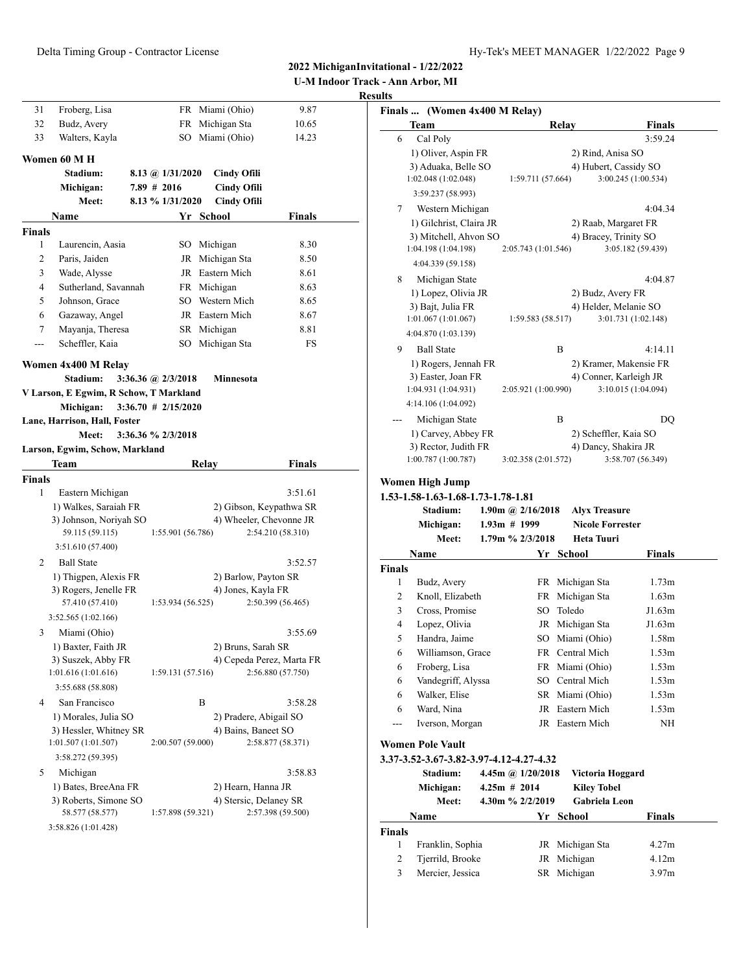**U-M Indoor Track - Ann Arbor, MI Results**

| 31            | Froberg, Lisa                          |                        | FR Miami (Ohio)    | 9.87                      |  |
|---------------|----------------------------------------|------------------------|--------------------|---------------------------|--|
| 32            | Budz, Avery                            |                        | FR Michigan Sta    | 10.65                     |  |
| 33            | Walters, Kayla                         |                        | SO Miami (Ohio)    | 14.23                     |  |
|               |                                        |                        |                    |                           |  |
|               | Women 60 M H<br>Stadium:               |                        |                    |                           |  |
|               |                                        | 8.13 @ $1/31/2020$     | <b>Cindy Ofili</b> |                           |  |
|               | Michigan:                              | $7.89$ # 2016          | <b>Cindy Ofili</b> |                           |  |
|               | Meet:                                  | 8.13 % 1/31/2020       | <b>Cindy Ofili</b> |                           |  |
|               | Name                                   |                        | Yr School          | Finals                    |  |
| <b>Finals</b> |                                        |                        |                    |                           |  |
| 1             | Laurencin, Aasia                       |                        | SO Michigan        | 8.30                      |  |
| 2             | Paris, Jaiden                          |                        | JR Michigan Sta    | 8.50                      |  |
| 3             | Wade, Alysse                           |                        | JR Eastern Mich    | 8.61                      |  |
| 4             | Sutherland, Savannah                   |                        | FR Michigan        | 8.63                      |  |
| 5             | Johnson, Grace                         |                        | SO Western Mich    | 8.65                      |  |
| 6             | Gazaway, Angel                         |                        | JR Eastern Mich    | 8.67                      |  |
| 7             | Mayanja, Theresa                       |                        | SR Michigan        | 8.81                      |  |
| ---           | Scheffler, Kaia                        |                        | SO Michigan Sta    | FS                        |  |
|               | Women 4x400 M Relay                    |                        |                    |                           |  |
|               | Stadium:                               | 3:36.36 @ $2/3/2018$   | Minnesota          |                           |  |
|               | V Larson, E Egwim, R Schow, T Markland |                        |                    |                           |  |
|               | Michigan:                              | $3:36.70 \# 2/15/2020$ |                    |                           |  |
|               | Lane, Harrison, Hall, Foster           |                        |                    |                           |  |
|               | Meet:                                  | 3:36.36 % 2/3/2018     |                    |                           |  |
|               | Larson, Egwim, Schow, Markland         |                        |                    |                           |  |
|               | Team                                   |                        | Relay              | Finals                    |  |
| <b>Finals</b> |                                        |                        |                    |                           |  |
| 1             | Eastern Michigan                       |                        |                    | 3:51.61                   |  |
|               | 1) Walkes, Saraiah FR                  |                        |                    | 2) Gibson, Keypathwa SR   |  |
|               | 3) Johnson, Noriyah SO                 |                        |                    | 4) Wheeler, Chevonne JR   |  |
|               | 59.115 (59.115)                        | 1:55.901 (56.786)      |                    | 2:54.210 (58.310)         |  |
|               | 3:51.610 (57.400)                      |                        |                    |                           |  |
| 2             | <b>Ball State</b>                      |                        |                    | 3:52.57                   |  |
|               | 1) Thigpen, Alexis FR                  |                        |                    | 2) Barlow, Payton SR      |  |
|               | 3) Rogers, Jenelle FR                  |                        | 4) Jones, Kayla FR |                           |  |
|               | 57.410 (57.410)                        | 1:53.934 (56.525)      |                    | 2:50.399 (56.465)         |  |
|               | 3:52.565(1:02.166)                     |                        |                    |                           |  |
| 3             | Miami (Ohio)                           |                        |                    | 3:55.69                   |  |
|               | 1) Baxter, Faith JR                    |                        | 2) Bruns, Sarah SR |                           |  |
|               | 3) Suszek, Abby FR                     |                        |                    | 4) Cepeda Perez, Marta FR |  |
|               | 1:01.616(1:01.616)                     | 1:59.131 (57.516)      |                    | 2:56.880 (57.750)         |  |
|               | 3:55.688 (58.808)                      |                        |                    |                           |  |
| 4             | San Francisco                          |                        | B                  | 3:58.28                   |  |
|               | 1) Morales, Julia SO                   |                        |                    | 2) Pradere, Abigail SO    |  |
|               | 3) Hessler, Whitney SR                 |                        |                    | 4) Bains, Baneet SO       |  |
|               | 1:01.507 (1:01.507)                    | 2:00.507 (59.000)      |                    | 2:58.877 (58.371)         |  |
|               | 3:58.272 (59.395)                      |                        |                    |                           |  |
| 5             | Michigan                               |                        |                    | 3:58.83                   |  |
|               | 1) Bates, BreeAna FR                   |                        |                    | 2) Hearn, Hanna JR        |  |
|               | 3) Roberts, Simone SO                  |                        |                    | 4) Stersic, Delaney SR    |  |
|               | 58.577 (58.577)                        | 1:57.898 (59.321)      |                    | 2:57.398 (59.500)         |  |
|               | 3:58.826 (1:01.428)                    |                        |                    |                           |  |

|              | Finals  (Women 4x400 M Relay)           |                                       |                                                 |                                                              |
|--------------|-----------------------------------------|---------------------------------------|-------------------------------------------------|--------------------------------------------------------------|
|              | Team                                    |                                       | Relay                                           | Finals                                                       |
| 6            | Cal Poly                                |                                       |                                                 | 3:59.24                                                      |
|              | 1) Oliver, Aspin FR                     |                                       | 2) Rind, Anisa SO                               |                                                              |
|              | 3) Aduaka, Belle SO                     |                                       |                                                 | 4) Hubert, Cassidy SO                                        |
|              | 1:02.048 (1:02.048)                     | 1:59.711 (57.664)                     |                                                 | 3:00.245 (1:00.534)                                          |
|              | 3:59.237 (58.993)                       |                                       |                                                 |                                                              |
| 7            | Western Michigan                        |                                       |                                                 | 4:04.34                                                      |
|              | 1) Gilchrist, Claira JR                 |                                       |                                                 | 2) Raab, Margaret FR                                         |
|              | 3) Mitchell, Ahvon SO                   |                                       |                                                 | 4) Bracey, Trinity SO                                        |
|              | 1:04.198 (1:04.198)                     | 2:05.743 (1:01.546)                   |                                                 | 3:05.182 (59.439)                                            |
|              | 4:04.339 (59.158)                       |                                       |                                                 |                                                              |
| 8            | Michigan State                          |                                       |                                                 | 4:04.87                                                      |
|              | 1) Lopez, Olivia JR                     |                                       | 2) Budz, Avery FR                               |                                                              |
|              | 3) Bajt, Julia FR                       |                                       |                                                 | 4) Helder, Melanie SO                                        |
|              | 1:01.067(1:01.067)                      | 1:59.583(58.517)                      |                                                 | 3:01.731 (1:02.148)                                          |
|              | 4:04.870 (1:03.139)                     |                                       |                                                 |                                                              |
| 9            | <b>Ball State</b>                       |                                       | B                                               | 4:14.11                                                      |
|              | 1) Rogers, Jennah FR                    |                                       |                                                 | 2) Kramer, Makensie FR                                       |
|              | 3) Easter, Joan FR                      |                                       |                                                 | 4) Conner, Karleigh JR                                       |
|              | 1:04.931 (1:04.931)                     | 2:05.921 (1:00.990)                   |                                                 | 3:10.015 (1:04.094)                                          |
|              | 4:14.106 (1:04.092)                     |                                       |                                                 |                                                              |
|              | Michigan State                          |                                       | B                                               | DQ                                                           |
|              | 1) Carvey, Abbey FR                     |                                       |                                                 | 2) Scheffler, Kaia SO                                        |
|              | 3) Rector, Judith FR                    |                                       | 4) Dancy, Shakira JR                            |                                                              |
|              | 1:00.787 (1:00.787)                     | 3:02.358 (2:01.572)                   |                                                 | 3:58.707 (56.349)                                            |
|              | 1.53-1.58-1.63-1.68-1.73-1.78-1.81      |                                       |                                                 |                                                              |
|              | Stadium:<br>Michigan:                   | 1.90m @ $2/16/2018$<br>$1.93m$ # 1999 | <b>Alyx Treasure</b><br><b>Nicole Forrester</b> |                                                              |
|              | <b>Meet:</b>                            | 1.79m % 2/3/2018                      | Heta Tuuri                                      |                                                              |
|              | Name                                    |                                       | Yr School                                       | Finals                                                       |
|              |                                         |                                       |                                                 |                                                              |
| 1            | Budz, Avery                             | FR                                    | Michigan Sta                                    | 1.73m                                                        |
| 2            | Knoll, Elizabeth                        | FR                                    | Michigan Sta                                    | 1.63m                                                        |
| 3            | Cross, Promise                          | SO.                                   | Toledo                                          | J1.63m                                                       |
| 4            | Lopez, Olivia                           | JR                                    | Michigan Sta                                    |                                                              |
| 5            | Handra, Jaime                           |                                       | SO Miami (Ohio)                                 |                                                              |
| 6            | Williamson, Grace                       |                                       | FR Central Mich                                 |                                                              |
| 6            | Froberg, Lisa                           |                                       | FR Miami (Ohio)                                 |                                                              |
| 6            | Vandegriff, Alyssa                      |                                       | SO Central Mich                                 |                                                              |
| 6            | Walker, Elise                           |                                       | SR Miami (Ohio)                                 |                                                              |
| 6            | Ward, Nina                              |                                       | JR Eastern Mich                                 | J1.63m<br>1.58m<br>1.53m<br>1.53m<br>1.53m<br>1.53m<br>1.53m |
| ---          | Iverson, Morgan                         |                                       | JR Eastern Mich                                 | NH                                                           |
|              |                                         |                                       |                                                 |                                                              |
|              | Women Pole Vault                        |                                       |                                                 |                                                              |
|              | 3.37-3.52-3.67-3.82-3.97-4.12-4.27-4.32 |                                       |                                                 |                                                              |
|              | Stadium:                                | 4.45m @ 1/20/2018                     | Victoria Hoggard                                |                                                              |
|              | Michigan:                               | $4.25m$ # 2014                        | <b>Kiley Tobel</b>                              |                                                              |
|              | Meet:                                   | 4.30m % 2/2/2019                      | Gabriela Leon                                   |                                                              |
| Finals       | Name                                    |                                       | Yr School                                       | <b>Finals</b>                                                |
| Finals       |                                         |                                       |                                                 |                                                              |
| $\mathbf{1}$ | Franklin, Sophia                        |                                       | JR Michigan Sta                                 | 4.27m                                                        |
| $\sqrt{2}$   | Tjerrild, Brooke                        | JR                                    | Michigan                                        | 4.12m                                                        |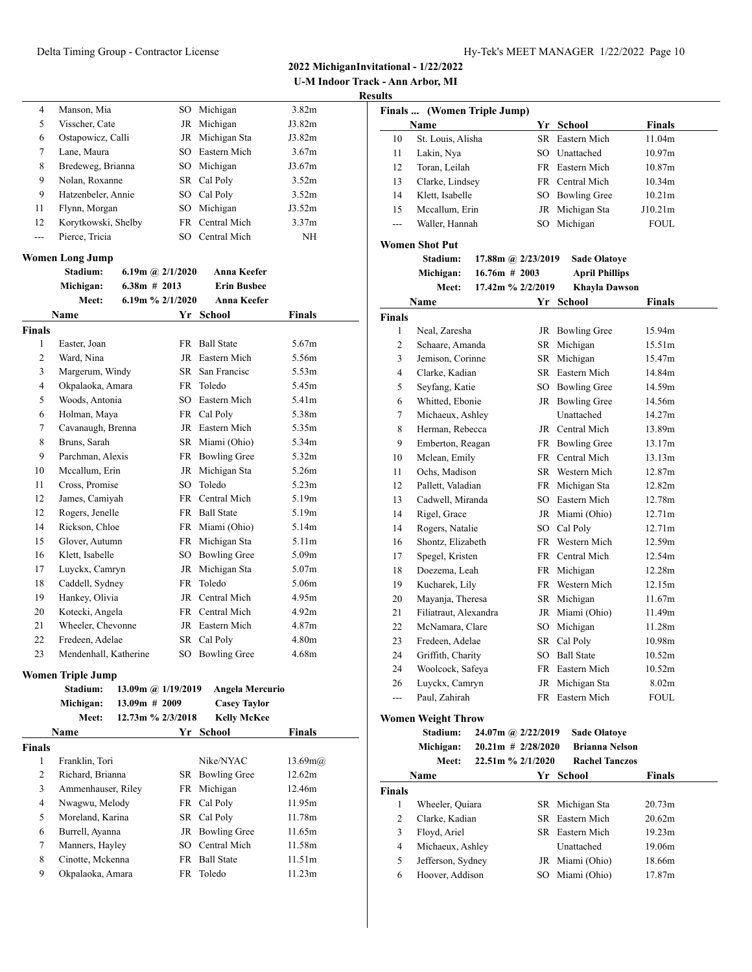**U-M Indoor Track - Ann Arbor, MI Results**

| 4   | Manson, Mia         |      | SO Michigan     | 3.82 <sub>m</sub> |  |
|-----|---------------------|------|-----------------|-------------------|--|
| 5   | Visscher, Cate      |      | JR Michigan     | J3.82m            |  |
| 6   | Ostapowicz, Calli   |      | JR Michigan Sta | J3.82m            |  |
| 7   | Lane, Maura         |      | SO Eastern Mich | 3.67m             |  |
| 8   | Bredeweg, Brianna   |      | SO Michigan     | J3.67m            |  |
| 9   | Nolan, Roxanne      |      | SR Cal Poly     | 3.52m             |  |
| 9   | Hatzenbeler, Annie  |      | SO Cal Poly     | 3.52m             |  |
| 11  | Flynn, Morgan       | SO - | Michigan        | J3.52m            |  |
| 12  | Korytkowski, Shelby |      | FR Central Mich | 3.37 <sub>m</sub> |  |
| --- | Pierce, Tricia      | SO   | Central Mich    | NH                |  |

# **Women Long Jump**

|                | Stadium:              | 6.19m @ $2/1/2020$  | <b>Anna Keefer</b>  |                   |
|----------------|-----------------------|---------------------|---------------------|-------------------|
|                | Michigan:             | $6.38m$ # 2013      | <b>Erin Busbee</b>  |                   |
|                | Meet:                 | 6.19m $\%$ 2/1/2020 | <b>Anna Keefer</b>  |                   |
|                | Name                  |                     | Yr School           | Finals            |
| <b>Finals</b>  |                       |                     |                     |                   |
| 1              | Easter, Joan          | <b>FR</b>           | <b>Ball State</b>   | 5.67m             |
| 2              | Ward, Nina            | JR                  | Eastern Mich        | 5.56m             |
| 3              | Margerum, Windy       | SR.                 | San Francisc        | 5.53m             |
| $\overline{4}$ | Okpalaoka, Amara      | <b>FR</b>           | Toledo              | 5.45m             |
| 5              | Woods, Antonia        | SO                  | Eastern Mich        | 5.41m             |
| 6              | Holman, Maya          | FR                  | Cal Poly            | 5.38m             |
| 7              | Cavanaugh, Brenna     |                     | JR Eastern Mich     | 5.35m             |
| 8              | Bruns, Sarah          |                     | SR Miami (Ohio)     | 5.34m             |
| 9              | Parchman, Alexis      |                     | FR Bowling Gree     | 5.32m             |
| 10             | Mccallum, Erin        | <b>JR</b>           | Michigan Sta        | 5.26m             |
| 11             | Cross, Promise        | SO                  | Toledo              | 5.23m             |
| 12             | James, Camiyah        | <b>FR</b>           | Central Mich        | 5.19m             |
| 12             | Rogers, Jenelle       | <b>FR</b>           | <b>Ball State</b>   | 5.19m             |
| 14             | Rickson, Chloe        | FR                  | Miami (Ohio)        | 5.14m             |
| 15             | Glover, Autumn        | FR                  | Michigan Sta        | 5.11 <sub>m</sub> |
| 16             | Klett, Isabelle       | SO                  | <b>Bowling Gree</b> | 5.09 <sub>m</sub> |
| 17             | Luyckx, Camryn        | JR                  | Michigan Sta        | 5.07m             |
| 18             | Caddell, Sydney       | <b>FR</b>           | Toledo              | 5.06m             |
| 19             | Hankey, Olivia        | JR                  | Central Mich        | 4.95m             |
| 20             | Kotecki, Angela       | FR                  | Central Mich        | 4.92m             |
| 21             | Wheeler, Chevonne     |                     | JR Eastern Mich     | 4.87m             |
| 22             | Fredeen, Adelae       | SR.                 | Cal Poly            | 4.80 <sub>m</sub> |
| 23             | Mendenhall, Katherine | SO                  | <b>Bowling Gree</b> | 4.68m             |

# **Women Triple Jump**

|        | Stadium:           | 13.09m @ 1/19/2019   | Angela Mercurio     |               |
|--------|--------------------|----------------------|---------------------|---------------|
|        | Michigan:          | $13.09m \# 2009$     | <b>Casey Taylor</b> |               |
|        | <b>Meet:</b>       | $12.73m \% 2/3/2018$ | <b>Kelly McKee</b>  |               |
|        | <b>Name</b>        | Yr                   | School              | <b>Finals</b> |
| Finals |                    |                      |                     |               |
| 1      | Franklin, Tori     |                      | Nike/NYAC           | 13.69m(a)     |
| 2      | Richard, Brianna   |                      | SR Bowling Gree     | 12.62m        |
| 3      | Ammenhauser, Riley |                      | FR Michigan         | 12.46m        |
| 4      | Nwagwu, Melody     |                      | FR Cal Poly         | 11.95m        |
| 5      | Moreland, Karina   |                      | SR Cal Poly         | 11.78m        |
| 6      | Burrell, Ayanna    |                      | JR Bowling Gree     | 11.65m        |
| 7      | Manners, Hayley    |                      | SO Central Mich     | 11.58m        |
| 8      | Cinotte, Mckenna   |                      | FR Ball State       | 11.51m        |
| 9      | Okpalaoka, Amara   |                      | FR Toledo           | 11.23m        |
|        |                    |                      |                     |               |

| Finals  (Women Triple Jump) |                                       |  |                      |                                         |                    |  |
|-----------------------------|---------------------------------------|--|----------------------|-----------------------------------------|--------------------|--|
|                             | Name                                  |  |                      | Yr School                               | <b>Finals</b>      |  |
| 10                          | St. Louis, Alisha                     |  |                      | SR Eastern Mich                         | 11.04m             |  |
| 11                          | Lakin, Nya                            |  |                      | SO Unattached                           | 10.97m             |  |
| 12                          | Toran, Leilah                         |  |                      | FR Eastern Mich                         | 10.87 <sub>m</sub> |  |
| 13                          | Clarke, Lindsey                       |  |                      | FR Central Mich                         | 10.34 <sub>m</sub> |  |
| 14                          | Klett, Isabelle                       |  |                      | SO Bowling Gree                         | 10.21 <sub>m</sub> |  |
| 15                          | Mccallum, Erin                        |  |                      | JR Michigan Sta                         | J10.21m            |  |
| $---$                       | Waller, Hannah                        |  | SO                   | Michigan                                | <b>FOUL</b>        |  |
|                             | Women Shot Put                        |  |                      |                                         |                    |  |
|                             | Stadium:                              |  | 17.88m @ 2/23/2019   | <b>Sade Olatoye</b>                     |                    |  |
|                             | Michigan:                             |  | $16.76m$ # 2003      | <b>April Phillips</b>                   |                    |  |
|                             | Meet:                                 |  | 17.42m % 2/2/2019    | <b>Khayla Dawson</b>                    |                    |  |
|                             | Name                                  |  |                      | Yr School                               | Finals             |  |
| <b>Finals</b>               |                                       |  |                      |                                         |                    |  |
| 1                           | Neal, Zaresha                         |  |                      | JR Bowling Gree                         | 15.94m             |  |
| 2                           | Schaare, Amanda                       |  |                      | SR Michigan                             | 15.51m             |  |
| 3                           | Jemison, Corinne                      |  |                      | SR Michigan                             | 15.47m             |  |
| 4                           | Clarke, Kadian                        |  |                      | SR Eastern Mich                         | 14.84m             |  |
| 5                           | Seyfang, Katie                        |  |                      | SO Bowling Gree                         | 14.59m             |  |
| 6                           | Whitted, Ebonie                       |  |                      | JR Bowling Gree                         | 14.56m             |  |
| 7                           | Michaeux, Ashley                      |  |                      | Unattached                              | 14.27m             |  |
| 8                           | Herman, Rebecca                       |  |                      | JR Central Mich                         | 13.89m             |  |
| 9                           | Emberton, Reagan                      |  |                      | FR Bowling Gree                         | 13.17m             |  |
| 10                          | Mclean, Emily                         |  |                      | FR Central Mich                         | 13.13m             |  |
| 11                          |                                       |  |                      | SR Western Mich                         | 12.87m             |  |
|                             | Ochs, Madison                         |  |                      |                                         |                    |  |
| 12<br>13                    | Pallett, Valadian<br>Cadwell, Miranda |  |                      | FR Michigan Sta<br>SO Eastern Mich      | 12.82m<br>12.78m   |  |
|                             |                                       |  |                      |                                         |                    |  |
| 14                          | Rigel, Grace                          |  |                      | JR Miami (Ohio)                         | 12.71m             |  |
| 14                          | Rogers, Natalie                       |  |                      | SO Cal Poly<br>FR Western Mich          | 12.71m<br>12.59m   |  |
| 16                          | Shontz, Elizabeth                     |  |                      |                                         |                    |  |
| 17                          | Spegel, Kristen                       |  |                      | FR Central Mich                         | 12.54m             |  |
| 18                          | Doezema, Leah                         |  |                      | FR Michigan                             | 12.28m             |  |
| 19                          | Kucharek, Lily                        |  |                      | FR Western Mich                         | 12.15m             |  |
| 20                          | Mayanja, Theresa                      |  |                      | SR Michigan                             | 11.67m             |  |
| 21                          | Filiatraut, Alexandra                 |  |                      | JR Miami (Ohio)                         | 11.49m             |  |
| 22                          | McNamara, Clare                       |  | SO                   | Michigan                                | 11.28m             |  |
| 23                          | Fredeen, Adelae                       |  |                      | SR Cal Poly                             | 10.98m             |  |
| 24                          | Griffith, Charity                     |  |                      | SO Ball State                           | 10.52m             |  |
| 24                          | Woolcock, Safeya                      |  |                      | FR Eastern Mich                         | 10.52m             |  |
| 26                          | Luyckx, Camryn                        |  |                      | JR Michigan Sta                         | 8.02 <sub>m</sub>  |  |
| ---                         | Paul, Zahirah                         |  |                      | FR Eastern Mich                         | <b>FOUL</b>        |  |
|                             | <b>Women Weight Throw</b>             |  |                      |                                         |                    |  |
|                             | Stadium:                              |  | 24.07m @ 2/22/2019   | <b>Sade Olatoye</b>                     |                    |  |
|                             | Michigan:                             |  | $20.21m$ # 2/28/2020 | <b>Brianna Nelson</b>                   |                    |  |
|                             | <b>Meet:</b>                          |  | 22.51m % 2/1/2020    | <b>Rachel Tanczos</b>                   |                    |  |
|                             | $N = 0$                               |  |                      | $V_{\mu}$ $R_{\alpha}$ <sub>hoo</sub> l | $E_{\text{total}}$ |  |

|               | Name              |  | Yr School       | <b>Finals</b> |  |  |
|---------------|-------------------|--|-----------------|---------------|--|--|
| <b>Finals</b> |                   |  |                 |               |  |  |
|               | Wheeler, Quiara   |  | SR Michigan Sta | 20.73m        |  |  |
| 2             | Clarke, Kadian    |  | SR Eastern Mich | 20.62m        |  |  |
| 3             | Floyd, Ariel      |  | SR Eastern Mich | 19.23m        |  |  |
| 4             | Michaeux, Ashley  |  | Unattached      | 19.06m        |  |  |
| 5             | Jefferson, Sydney |  | JR Miami (Ohio) | 18.66m        |  |  |
| 6             | Hoover, Addison   |  | SO Miami (Ohio) | 17.87m        |  |  |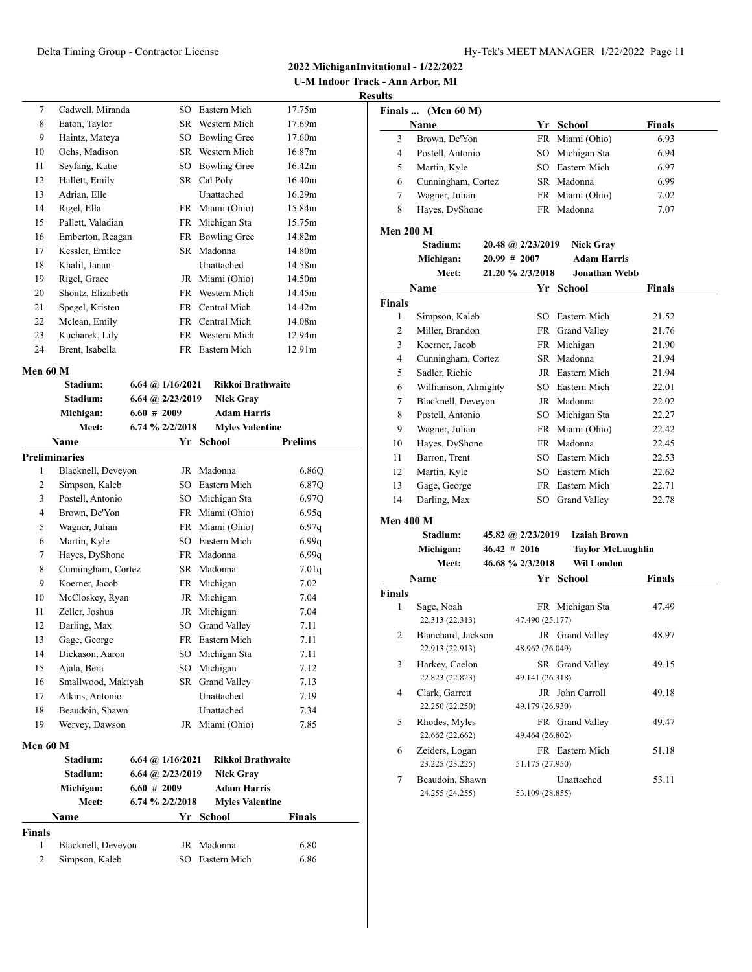**U-M Indoor Track - Ann Arbor, MI**

#### **Results**

| 7  | Cadwell, Miranda  | SO.  | Eastern Mich        | 17.75m             |
|----|-------------------|------|---------------------|--------------------|
| 8  | Eaton, Taylor     | SR.  | Western Mich        | 17.69m             |
| 9  | Haintz, Mateya    | SO   | <b>Bowling Gree</b> | 17.60m             |
| 10 | Ochs, Madison     | SR   | Western Mich        | 16.87 <sub>m</sub> |
| 11 | Seyfang, Katie    | SO   | <b>Bowling Gree</b> | 16.42m             |
| 12 | Hallett, Emily    |      | SR Cal Poly         | 16.40m             |
| 13 | Adrian, Elle      |      | Unattached          | 16.29m             |
| 14 | Rigel, Ella       | FR.  | Miami (Ohio)        | 15.84m             |
| 15 | Pallett, Valadian | FR   | Michigan Sta        | 15.75m             |
| 16 | Emberton, Reagan  | FR   | <b>Bowling Gree</b> | 14.82m             |
| 17 | Kessler, Emilee   | SR.  | Madonna             | 14.80m             |
| 18 | Khalil, Janan     |      | Unattached          | 14.58m             |
| 19 | Rigel, Grace      | JR   | Miami (Ohio)        | 14.50m             |
| 20 | Shontz, Elizabeth | FR   | Western Mich        | 14.45m             |
| 21 | Spegel, Kristen   | FR.  | Central Mich        | 14.42m             |
| 22 | Mclean, Emily     | FR - | Central Mich        | 14.08m             |
| 23 | Kucharek, Lily    | FR   | Western Mich        | 12.94m             |
| 24 | Brent, Isabella   | FR.  | Eastern Mich        | 12.91m             |
|    |                   |      |                     |                    |

# **Men 60 M**

|                | Stadium:             | 6.64 @ $1/16/2021$                    | <b>Rikkoi Brathwaite</b> |                |
|----------------|----------------------|---------------------------------------|--------------------------|----------------|
|                | Stadium:             | 6.64 @ 2/23/2019                      | <b>Nick Grav</b>         |                |
|                | Michigan:            | $6.60 \# 2009$                        | <b>Adam Harris</b>       |                |
|                | Meet:                | 6.74 % 2/2/2018                       | <b>Myles Valentine</b>   |                |
|                | Name                 | Yr                                    | School                   | <b>Prelims</b> |
|                | <b>Preliminaries</b> |                                       |                          |                |
| 1              | Blacknell, Deveyon   | JR                                    | Madonna                  | 6.86Q          |
| $\overline{c}$ | Simpson, Kaleb       | SO                                    | Eastern Mich             | 6.87Q          |
| 3              | Postell, Antonio     |                                       | SO Michigan Sta          | 6.97Q          |
| $\overline{4}$ | Brown, De'Yon        |                                       | FR Miami (Ohio)          | 6.95q          |
| 5              | Wagner, Julian       |                                       | FR Miami (Ohio)          | 6.97q          |
| 6              | Martin, Kyle         | SO.                                   | Eastern Mich             | 6.99q          |
| 7              | Hayes, DyShone       | FR 1                                  | Madonna                  | 6.99q          |
| 8              | Cunningham, Cortez   | SR                                    | Madonna                  | 7.01q          |
| 9              | Koerner, Jacob       | FR                                    | Michigan                 | 7.02           |
| 10             | McCloskey, Ryan      | JR                                    | Michigan                 | 7.04           |
| 11             | Zeller, Joshua       | <b>JR</b>                             | Michigan                 | 7.04           |
| 12             | Darling, Max         | SO <sub>1</sub>                       | <b>Grand Valley</b>      | 7.11           |
| 13             | Gage, George         |                                       | FR Eastern Mich          | 7.11           |
| 14             | Dickason, Aaron      | SO.                                   | Michigan Sta             | 7.11           |
| 15             | Ajala, Bera          | SO.                                   | Michigan                 | 7.12           |
| 16             | Smallwood, Makiyah   | SR                                    | <b>Grand Valley</b>      | 7.13           |
| 17             | Atkins, Antonio      |                                       | Unattached               | 7.19           |
| 18             | Beaudoin, Shawn      |                                       | Unattached               | 7.34           |
| 19             | Wervey, Dawson       | JR                                    | Miami (Ohio)             | 7.85           |
| Men 60 M       |                      |                                       |                          |                |
|                | Stadium:             | $6.64 \; \textcircled{a}$ $1/16/2021$ | <b>Rikkoi Brathwaite</b> |                |
|                | Stadium:             | 6.64 @ 2/23/2019                      | <b>Nick Grav</b>         |                |
|                | Michigan:            | $6.60 \# 2009$                        | <b>Adam Harris</b>       |                |
|                | Meet:                | 6.74 % 2/2/2018                       | <b>Myles Valentine</b>   |                |
|                | <b>Name</b>          |                                       | Yr School                | <b>Finals</b>  |
| <b>Finals</b>  |                      |                                       |                          |                |
| 1              | Blacknell, Deveyon   | JR                                    | Madonna                  | 6.80           |
| $\overline{2}$ | Simpson, Kaleb       | SO.                                   | Eastern Mich             | 6.86           |

|                  | Finals  (Men 60 M)                |                 |                   |                                        |               |  |  |
|------------------|-----------------------------------|-----------------|-------------------|----------------------------------------|---------------|--|--|
|                  | Name                              |                 |                   | Yr School                              | <b>Finals</b> |  |  |
| 3                | Brown, De'Yon                     |                 |                   | FR Miami (Ohio)                        | 6.93          |  |  |
| 4                | Postell, Antonio                  |                 |                   | SO Michigan Sta                        | 6.94          |  |  |
| 5                | Martin, Kyle                      |                 |                   | SO Eastern Mich                        | 6.97          |  |  |
| 6                | Cunningham, Cortez                |                 |                   | SR Madonna                             | 6.99          |  |  |
| 7                | Wagner, Julian                    |                 |                   | FR Miami (Ohio)                        | 7.02          |  |  |
| 8                | Hayes, DyShone                    |                 |                   | FR Madonna                             | 7.07          |  |  |
|                  |                                   |                 |                   |                                        |               |  |  |
| <b>Men 200 M</b> | <b>Stadium:</b>                   |                 |                   |                                        |               |  |  |
|                  |                                   |                 | 20.48 @ 2/23/2019 | <b>Nick Gray</b><br><b>Adam Harris</b> |               |  |  |
|                  | Michigan:                         | 20.99 # 2007    |                   | <b>Jonathan Webb</b>                   |               |  |  |
|                  | Meet:                             |                 | 21.20 % 2/3/2018  |                                        |               |  |  |
|                  | Name                              |                 |                   | Yr School                              | Finals        |  |  |
| Finals           |                                   |                 |                   |                                        |               |  |  |
| 1                | Simpson, Kaleb                    |                 |                   | SO Eastern Mich                        | 21.52         |  |  |
| $\overline{c}$   | Miller, Brandon                   |                 |                   | FR Grand Valley                        | 21.76         |  |  |
| 3                | Koerner, Jacob                    |                 |                   | FR Michigan                            | 21.90         |  |  |
| 4                | Cunningham, Cortez                |                 |                   | SR Madonna                             | 21.94         |  |  |
| 5                | Sadler, Richie                    |                 |                   | JR Eastern Mich                        | 21.94         |  |  |
| 6                | Williamson, Almighty              |                 |                   | SO Eastern Mich                        | 22.01         |  |  |
| 7                | Blacknell, Deveyon                |                 |                   | JR Madonna                             | 22.02         |  |  |
| 8                | Postell, Antonio                  |                 |                   | SO Michigan Sta                        | 22.27         |  |  |
| 9                | Wagner, Julian                    |                 |                   | FR Miami (Ohio)                        | 22.42         |  |  |
| 10               | Hayes, DyShone                    |                 |                   | FR Madonna                             | 22.45         |  |  |
| 11               | Barron, Trent                     |                 |                   | SO Eastern Mich                        | 22.53         |  |  |
| 12               | Martin, Kyle                      |                 |                   | SO Eastern Mich                        | 22.62         |  |  |
| 13               | Gage, George                      |                 |                   | FR Eastern Mich                        | 22.71         |  |  |
| 14               | Darling, Max                      |                 |                   | SO Grand Valley                        | 22.78         |  |  |
| Men 400 M        |                                   |                 |                   |                                        |               |  |  |
|                  | Stadium:                          |                 | 45.82 @ 2/23/2019 | <b>Izaiah Brown</b>                    |               |  |  |
|                  | Michigan:                         | $46.42 \# 2016$ |                   | <b>Taylor McLaughlin</b>               |               |  |  |
|                  | Meet:                             |                 | 46.68 % 2/3/2018  | Wil London                             |               |  |  |
|                  | Name                              |                 |                   | Yr School                              | <b>Finals</b> |  |  |
| Finals           |                                   |                 |                   |                                        |               |  |  |
| 1                | Sage, Noah                        |                 |                   | FR Michigan Sta                        | 47.49         |  |  |
|                  | 22.313 (22.313)                   |                 | 47.490 (25.177)   |                                        |               |  |  |
| 2                | Blanchard, Jackson                |                 |                   | JR Grand Valley                        | 48.97         |  |  |
|                  | 22.913 (22.913)                   |                 | 48.962 (26.049)   |                                        |               |  |  |
| 3                | Harkey, Caelon                    |                 |                   | SR Grand Valley                        | 49.15         |  |  |
|                  | 22.823 (22.823)                   |                 | 49.141 (26.318)   |                                        |               |  |  |
| 4                | Clark, Garrett                    |                 |                   | JR John Carroll                        | 49.18         |  |  |
|                  | 22.250 (22.250)                   |                 | 49.179 (26.930)   |                                        |               |  |  |
| 5                | Rhodes, Myles                     |                 |                   | FR Grand Valley                        | 49.47         |  |  |
|                  | 22.662 (22.662)                   |                 | 49.464 (26.802)   |                                        |               |  |  |
|                  |                                   |                 |                   |                                        |               |  |  |
| 6                | Zeiders, Logan<br>23.225 (23.225) |                 | 51.175 (27.950)   | FR Eastern Mich                        | 51.18         |  |  |
|                  |                                   |                 |                   |                                        |               |  |  |
| 7                | Beaudoin, Shawn                   |                 |                   | Unattached                             | 53.11         |  |  |
|                  | 24.255 (24.255)                   |                 | 53.109 (28.855)   |                                        |               |  |  |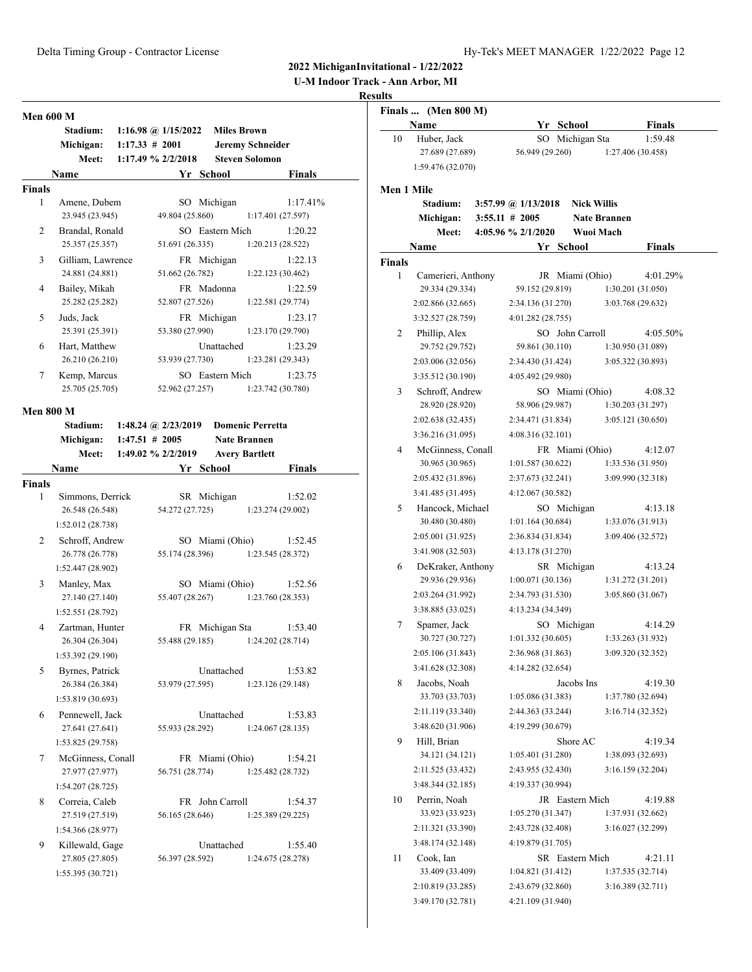**U-M Indoor Track - Ann Arbor, MI**

| <b>Men 600 M</b> |                                     |                   |                       |                    |                              |  |
|------------------|-------------------------------------|-------------------|-----------------------|--------------------|------------------------------|--|
|                  | <b>Stadium:</b>                     |                   | 1:16.98 @ $1/15/2022$ | <b>Miles Brown</b> |                              |  |
|                  | Michigan:                           | $1:17.33 \# 2001$ |                       |                    | <b>Jeremy Schneider</b>      |  |
|                  | Meet:                               |                   | 1:17.49 % 2/2/2018    |                    | <b>Steven Solomon</b>        |  |
|                  | Name                                |                   |                       | Yr School          | <b>Finals</b>                |  |
| <b>Finals</b>    |                                     |                   |                       |                    |                              |  |
| 1                | Amene, Dubem                        |                   |                       | SO Michigan        | 1:17.41%                     |  |
|                  | 23.945 (23.945)                     |                   | 49.804 (25.860)       |                    | 1:17.401(27.597)             |  |
| 2                | Brandal, Ronald                     |                   |                       | SO Eastern Mich    | 1:20.22                      |  |
|                  | 25.357 (25.357)                     |                   | 51.691 (26.335)       |                    | 1:20.213(28.522)             |  |
| 3                | Gilliam, Lawrence                   |                   |                       | FR Michigan        | 1:22.13                      |  |
|                  | 24.881 (24.881)                     |                   | 51.662 (26.782)       |                    | 1:22.123 (30.462)            |  |
| 4                | Bailey, Mikah<br>25.282 (25.282)    |                   | 52.807 (27.526)       | FR Madonna         | 1:22.59                      |  |
|                  |                                     |                   |                       |                    | 1:22.581 (29.774)            |  |
| 5                | Juds, Jack<br>25.391 (25.391)       |                   | 53.380 (27.990)       | FR Michigan        | 1:23.17<br>1:23.170 (29.790) |  |
| 6                |                                     |                   |                       | Unattached         |                              |  |
|                  | Hart, Matthew<br>26.210 (26.210)    |                   | 53.939 (27.730)       |                    | 1:23.29<br>1:23.281 (29.343) |  |
| 7                | Kemp, Marcus                        |                   |                       | SO Eastern Mich    | 1:23.75                      |  |
|                  | 25.705 (25.705)                     |                   | 52.962 (27.257)       |                    | 1:23.742 (30.780)            |  |
|                  |                                     |                   |                       |                    |                              |  |
| <b>Men 800 M</b> |                                     |                   |                       |                    |                              |  |
|                  | Stadium: 1:48.24 @ 2/23/2019        |                   |                       |                    | <b>Domenic Perretta</b>      |  |
|                  | Michigan:                           | $1:47.51 \# 2005$ |                       |                    | <b>Nate Brannen</b>          |  |
|                  | Meet:                               |                   | 1:49.02 % 2/2/2019    |                    | <b>Avery Bartlett</b>        |  |
|                  | Name                                |                   |                       | Yr School          | <b>Finals</b>                |  |
| <b>Finals</b>    |                                     |                   |                       |                    |                              |  |
| 1                | Simmons, Derrick<br>26.548 (26.548) |                   | 54.272 (27.725)       | SR Michigan        | 1:52.02<br>1:23.274 (29.002) |  |
|                  | 1:52.012 (28.738)                   |                   |                       |                    |                              |  |
| 2                | Schroff, Andrew                     |                   |                       | SO Miami (Ohio)    | 1:52.45                      |  |
|                  | 26.778 (26.778)                     |                   | 55.174 (28.396)       |                    | 1:23.545(28.372)             |  |
|                  | 1:52.447 (28.902)                   |                   |                       |                    |                              |  |
| 3                | Manley, Max                         |                   |                       | SO Miami (Ohio)    | 1:52.56                      |  |
|                  | 27.140 (27.140)                     |                   | 55.407 (28.267)       |                    | 1:23.760(28.353)             |  |
|                  | 1:52.551 (28.792)                   |                   |                       |                    |                              |  |
| 4                | Zartman, Hunter                     |                   |                       | FR Michigan Sta    | 1:53.40                      |  |
|                  | 26.304 (26.304)                     |                   | 55.488 (29.185)       |                    | 1:24.202 (28.714)            |  |
|                  | 1:53.392 (29.190)                   |                   |                       |                    |                              |  |
| 5                | Byrnes, Patrick                     |                   |                       | Unattached         | 1:53.82                      |  |
|                  | 26.384 (26.384)                     |                   | 53.979 (27.595)       |                    | 1:23.126(29.148)             |  |
|                  | 1:53.819 (30.693)                   |                   |                       |                    |                              |  |
| 6                | Pennewell, Jack                     |                   |                       | Unattached         | 1:53.83                      |  |
|                  | 27.641 (27.641)                     |                   | 55.933 (28.292)       |                    | 1:24.067(28.135)             |  |
|                  | 1:53.825 (29.758)                   |                   |                       |                    |                              |  |
| 7                | McGinness, Conall                   |                   |                       | FR Miami (Ohio)    | 1:54.21                      |  |
|                  | 27.977 (27.977)                     |                   | 56.751 (28.774)       |                    | 1:25.482 (28.732)            |  |
|                  | 1:54.207 (28.725)                   |                   |                       |                    |                              |  |
| 8                | Correia, Caleb                      |                   |                       | FR John Carroll    | 1:54.37                      |  |
|                  | 27.519 (27.519)                     |                   | 56.165 (28.646)       |                    | 1:25.389(29.225)             |  |
|                  | 1:54.366 (28.977)                   |                   |                       |                    |                              |  |
| 9                | Killewald, Gage                     |                   |                       | Unattached         | 1:55.40                      |  |
|                  | 27.805 (27.805)                     |                   | 56.397 (28.592)       |                    | 1:24.675 (28.278)            |  |
|                  | 1:55.395 (30.721)                   |                   |                       |                    |                              |  |

|                   | Finals  (Men 800 M) |                       |                    |                     |
|-------------------|---------------------|-----------------------|--------------------|---------------------|
|                   | Name                |                       | Yr School          | <b>Finals</b>       |
| 10                | Huber, Jack         |                       | SO Michigan Sta    | 1:59.48             |
|                   | 27.689 (27.689)     | 56.949 (29.260)       |                    | 1:27.406 (30.458)   |
|                   | 1:59.476 (32.070)   |                       |                    |                     |
| <b>Men 1 Mile</b> |                     |                       |                    |                     |
|                   | <b>Stadium:</b>     | 3:57.99 @ $1/13/2018$ | <b>Nick Willis</b> |                     |
|                   | Michigan:           | $3:55.11 \# 2005$     |                    | <b>Nate Brannen</b> |
|                   | Meet:               | 4:05.96 % 2/1/2020    | Wuoi Mach          |                     |
|                   | Name                |                       | Yr School          | <b>Finals</b>       |
| <b>Finals</b>     |                     |                       |                    |                     |
| 1                 | Camerieri, Anthony  |                       | JR Miami (Ohio)    | 4:01.29%            |
|                   | 29.334 (29.334)     | 59.152 (29.819)       |                    | 1:30.201 (31.050)   |
|                   | 2:02.866 (32.665)   | 2:34.136 (31.270)     |                    | 3:03.768 (29.632)   |
|                   | 3:32.527 (28.759)   | 4:01.282 (28.755)     |                    |                     |
| 2                 | Phillip, Alex       |                       | SO John Carroll    | 4:05.50%            |
|                   | 29.752 (29.752)     | 59.861 (30.110)       |                    | 1:30.950 (31.089)   |
|                   | 2:03.006 (32.056)   | 2:34.430 (31.424)     |                    | 3:05.322 (30.893)   |
|                   | 3:35.512 (30.190)   | 4:05.492 (29.980)     |                    |                     |
| 3                 | Schroff, Andrew     |                       | SO Miami (Ohio)    | 4:08.32             |
|                   | 28.920 (28.920)     | 58.906 (29.987)       |                    | 1:30.203 (31.297)   |
|                   | 2:02.638 (32.435)   | 2:34.471 (31.834)     |                    | 3:05.121 (30.650)   |
|                   | 3:36.216 (31.095)   | 4:08.316 (32.101)     |                    |                     |
| 4                 | McGinness, Conall   |                       | FR Miami (Ohio)    | 4:12.07             |
|                   | 30.965 (30.965)     | 1:01.587(30.622)      |                    | 1:33.536 (31.950)   |
|                   | 2:05.432 (31.896)   | 2:37.673 (32.241)     |                    | 3:09.990 (32.318)   |
|                   | 3:41.485 (31.495)   | 4:12.067 (30.582)     |                    |                     |
| 5                 | Hancock, Michael    |                       | SO Michigan        | 4:13.18             |
|                   | 30.480 (30.480)     | 1:01.164(30.684)      |                    | 1:33.076 (31.913)   |
|                   | 2:05.001 (31.925)   | 2:36.834 (31.834)     |                    | 3:09.406 (32.572)   |
|                   | 3:41.908 (32.503)   | 4:13.178 (31.270)     |                    |                     |
| 6                 | DeKraker, Anthony   |                       | SR Michigan        | 4:13.24             |
|                   | 29.936 (29.936)     | 1:00.071(30.136)      |                    | 1:31.272 (31.201)   |
|                   | 2:03.264 (31.992)   | 2:34.793 (31.530)     |                    | 3:05.860 (31.067)   |
|                   | 3:38.885 (33.025)   | 4:13.234 (34.349)     |                    |                     |
| 7                 | Spamer, Jack        |                       | SO Michigan        | 4:14.29             |
|                   | 30.727 (30.727)     | 1:01.332(30.605)      |                    | 1:33.263 (31.932)   |
|                   | 2:05.106 (31.843)   | 2:36.968 (31.863)     |                    | 3:09.320 (32.352)   |
|                   | 3:41.628 (32.308)   | 4:14.282 (32.654)     |                    |                     |
| 8                 | Jacobs, Noah        |                       | Jacobs Ins         | 4:19.30             |
|                   | 33.703 (33.703)     | 1:05.086(31.383)      |                    | 1:37.780 (32.694)   |
|                   | 2:11.119 (33.340)   | 2:44.363 (33.244)     |                    | 3:16.714(32.352)    |
|                   | 3:48.620 (31.906)   | 4:19.299 (30.679)     |                    |                     |
| 9                 | Hill, Brian         |                       | Shore AC           | 4:19.34             |
|                   | 34.121 (34.121)     | 1:05.401(31.280)      |                    | 1:38.093 (32.693)   |
|                   | 2:11.525 (33.432)   | 2:43.955 (32.430)     |                    | 3:16.159(32.204)    |
|                   | 3:48.344 (32.185)   | 4:19.337 (30.994)     |                    |                     |
| 10                | Perrin, Noah        |                       | JR Eastern Mich    | 4:19.88             |
|                   | 33.923 (33.923)     | 1:05.270(31.347)      |                    | 1:37.931 (32.662)   |
|                   | 2:11.321 (33.390)   | 2:43.728 (32.408)     |                    | 3:16.027 (32.299)   |
|                   | 3:48.174 (32.148)   | 4:19.879 (31.705)     |                    |                     |
| 11                | Cook, Ian           |                       | SR Eastern Mich    | 4:21.11             |
|                   | 33.409 (33.409)     | 1:04.821(31.412)      |                    | 1:37.535 (32.714)   |
|                   | 2:10.819 (33.285)   | 2:43.679 (32.860)     |                    | 3:16.389(32.711)    |
|                   | 3:49.170 (32.781)   | 4:21.109 (31.940)     |                    |                     |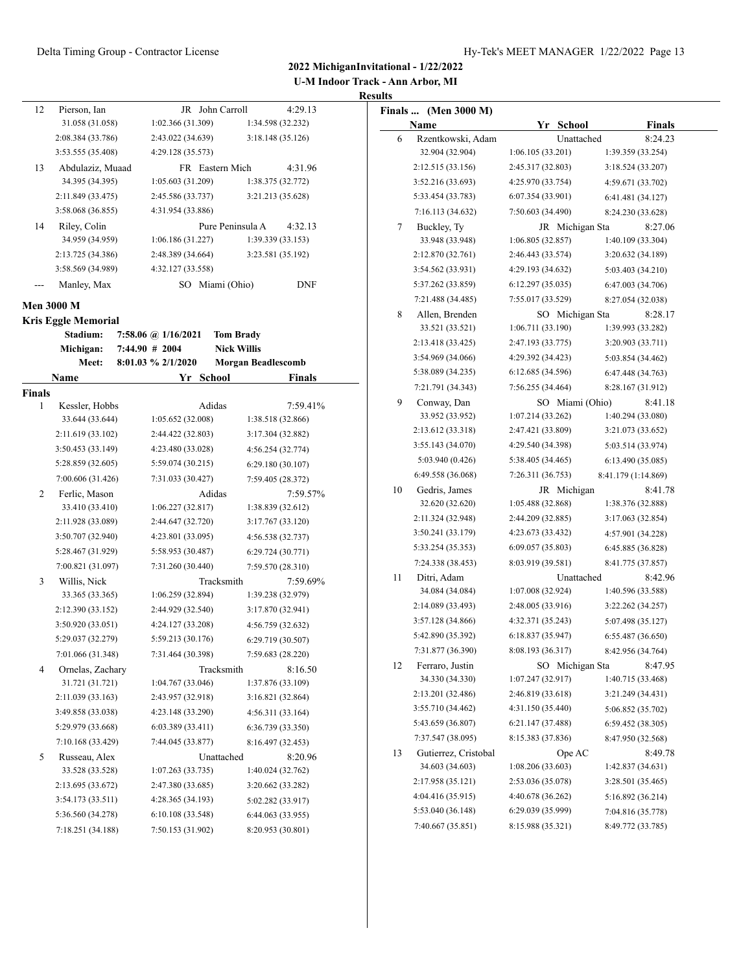| <b>U-M Indoor Track - Ann Arbor, MI</b> |
|-----------------------------------------|
| <b>Results</b>                          |

| 12            | Pierson, Ian               |                     |           | JR John Carroll    | 4:29.13           |
|---------------|----------------------------|---------------------|-----------|--------------------|-------------------|
|               | 31.058 (31.058)            | 1:02.366(31.309)    |           |                    | 1:34.598 (32.232) |
|               | 2:08.384 (33.786)          | 2:43.022 (34.639)   |           |                    | 3:18.148 (35.126) |
|               | 3:53.555 (35.408)          | 4:29.128 (35.573)   |           |                    |                   |
| 13            | Abdulaziz, Muaad           |                     |           | FR Eastern Mich    | 4:31.96           |
|               | 34.395 (34.395)            | 1:05.603(31.209)    |           |                    | 1:38.375 (32.772) |
|               | 2:11.849 (33.475)          | 2:45.586 (33.737)   |           |                    | 3:21.213 (35.628) |
|               | 3:58.068 (36.855)          | 4:31.954 (33.886)   |           |                    |                   |
| 14            | Riley, Colin               |                     |           | Pure Peninsula A   | 4:32.13           |
|               | 34.959 (34.959)            | 1:06.186(31.227)    |           |                    | 1:39.339(33.153)  |
|               | 2:13.725 (34.386)          | 2:48.389 (34.664)   |           |                    | 3:23.581 (35.192) |
|               | 3:58.569 (34.989)          | 4:32.127 (33.558)   |           |                    |                   |
|               | Manley, Max                |                     |           | SO Miami (Ohio)    | <b>DNF</b>        |
|               |                            |                     |           |                    |                   |
|               | <b>Men 3000 M</b>          |                     |           |                    |                   |
|               | <b>Kris Eggle Memorial</b> |                     |           |                    |                   |
|               | Stadium:                   | 7:58.06 @ 1/16/2021 |           | <b>Tom Brady</b>   |                   |
|               | Michigan:                  | $7:44.90 \# 2004$   |           | <b>Nick Willis</b> |                   |
|               | Meet:                      | 8:01.03 % 2/1/2020  |           | Morgan Beadlescomb |                   |
|               | Name                       |                     | Yr School |                    | <b>Finals</b>     |
| <b>Finals</b> |                            |                     |           |                    |                   |
| 1             | Kessler, Hobbs             |                     | Adidas    |                    | 7:59.41%          |
|               | 33.644 (33.644)            | 1:05.652(32.008)    |           |                    | 1:38.518 (32.866) |
|               | 2:11.619 (33.102)          | 2:44.422 (32.803)   |           |                    | 3:17.304 (32.882) |
|               | 3:50.453 (33.149)          | 4:23.480 (33.028)   |           |                    | 4:56.254 (32.774) |
|               | 5:28.859 (32.605)          | 5:59.074 (30.215)   |           |                    | 6:29.180 (30.107) |
|               | 7:00.606 (31.426)          | 7:31.033 (30.427)   |           |                    | 7:59.405 (28.372) |
| 2             | Ferlic, Mason              |                     | Adidas    |                    | 7:59.57%          |
|               | 33.410 (33.410)            | 1:06.227(32.817)    |           |                    | 1:38.839 (32.612) |
|               | 2:11.928 (33.089)          | 2:44.647 (32.720)   |           |                    | 3:17.767 (33.120) |
|               | 3:50.707 (32.940)          | 4:23.801 (33.095)   |           |                    | 4:56.538 (32.737) |
|               | 5:28.467 (31.929)          | 5:58.953 (30.487)   |           |                    | 6:29.724(30.771)  |
|               | 7:00.821 (31.097)          | 7:31.260 (30.440)   |           |                    | 7:59.570 (28.310) |
| 3             | Willis, Nick               |                     |           | Tracksmith         | 7:59.69%          |
|               | 33.365 (33.365)            | 1:06.259(32.894)    |           |                    | 1:39.238 (32.979) |
|               | 2:12.390 (33.152)          | 2:44.929 (32.540)   |           |                    | 3:17.870 (32.941) |
|               | 3:50.920 (33.051)          | 4:24.127 (33.208)   |           |                    | 4:56.759 (32.632) |
|               | 5:29.037 (32.279)          | 5:59.213 (30.176)   |           |                    | 6:29.719 (30.507) |
|               | 7:01.066 (31.348)          | 7:31.464 (30.398)   |           |                    | 7:59.683 (28.220) |
| 4             | Ornelas, Zachary           |                     |           | Tracksmith         | 8:16.50           |
|               | 31.721 (31.721)            | 1:04.767 (33.046)   |           |                    | 1:37.876 (33.109) |
|               | 2:11.039 (33.163)          | 2:43.957 (32.918)   |           |                    | 3:16.821(32.864)  |
|               | 3:49.858 (33.038)          | 4:23.148 (33.290)   |           |                    | 4:56.311 (33.164) |
|               | 5:29.979 (33.668)          | 6:03.389 (33.411)   |           |                    | 6:36.739 (33.350) |
|               | 7:10.168 (33.429)          | 7:44.045 (33.877)   |           |                    | 8:16.497 (32.453) |
| 5             | Russeau, Alex              |                     |           | Unattached         | 8:20.96           |
|               | 33.528 (33.528)            | 1:07.263(33.735)    |           |                    | 1:40.024 (32.762) |
|               | 2:13.695 (33.672)          | 2:47.380 (33.685)   |           |                    | 3:20.662 (33.282) |
|               | 3:54.173 (33.511)          | 4:28.365 (34.193)   |           |                    | 5:02.282 (33.917) |
|               | 5:36.560 (34.278)          | 6:10.108 (33.548)   |           |                    | 6:44.063 (33.955) |
|               | 7:18.251 (34.188)          | 7:50.153 (31.902)   |           |                    | 8:20.953 (30.801) |

|    | Finals  (Men 3000 M) |                   |                     |
|----|----------------------|-------------------|---------------------|
|    | Name                 | Yr School         | <b>Finals</b>       |
| 6  | Rzentkowski, Adam    | Unattached        | 8:24.23             |
|    | 32.904 (32.904)      | 1:06.105(33.201)  | 1:39.359 (33.254)   |
|    | 2:12.515 (33.156)    | 2:45.317 (32.803) | 3:18.524 (33.207)   |
|    | 3:52.216 (33.693)    | 4:25.970 (33.754) | 4:59.671 (33.702)   |
|    | 5:33.454 (33.783)    | 6:07.354(33.901)  | 6:41.481 (34.127)   |
|    | 7:16.113 (34.632)    | 7:50.603 (34.490) | 8:24.230 (33.628)   |
| 7  | Buckley, Ty          | JR Michigan Sta   | 8:27.06             |
|    | 33.948 (33.948)      | 1:06.805 (32.857) | 1:40.109 (33.304)   |
|    | 2:12.870 (32.761)    | 2:46.443 (33.574) | 3:20.632 (34.189)   |
|    | 3:54.562 (33.931)    | 4:29.193 (34.632) | 5:03.403 (34.210)   |
|    | 5:37.262 (33.859)    | 6:12.297 (35.035) | 6:47.003 (34.706)   |
|    | 7:21.488 (34.485)    | 7:55.017 (33.529) | 8:27.054 (32.038)   |
| 8  | Allen, Brenden       | SO Michigan Sta   | 8:28.17             |
|    | 33.521 (33.521)      | 1:06.711(33.190)  | 1:39.993 (33.282)   |
|    | 2:13.418 (33.425)    | 2:47.193 (33.775) | 3:20.903 (33.711)   |
|    | 3:54.969 (34.066)    | 4:29.392 (34.423) | 5:03.854 (34.462)   |
|    | 5:38.089 (34.235)    | 6:12.685 (34.596) | 6:47.448 (34.763)   |
|    | 7:21.791 (34.343)    | 7:56.255 (34.464) | 8:28.167 (31.912)   |
| 9  | Conway, Dan          | SO Miami (Ohio)   | 8:41.18             |
|    | 33.952 (33.952)      | 1:07.214 (33.262) | 1:40.294 (33.080)   |
|    | 2:13.612 (33.318)    | 2:47.421 (33.809) | 3:21.073 (33.652)   |
|    | 3:55.143 (34.070)    | 4:29.540 (34.398) | 5:03.514 (33.974)   |
|    | 5:03.940 (0.426)     | 5:38.405 (34.465) | 6:13.490 (35.085)   |
|    | 6:49.558 (36.068)    | 7:26.311 (36.753) | 8:41.179 (1:14.869) |
| 10 | Gedris, James        | JR Michigan       | 8:41.78             |
|    | 32.620 (32.620)      | 1:05.488(32.868)  | 1:38.376 (32.888)   |
|    | 2:11.324 (32.948)    | 2:44.209 (32.885) | 3:17.063 (32.854)   |
|    | 3:50.241 (33.179)    | 4:23.673 (33.432) | 4:57.901 (34.228)   |
|    | 5:33.254 (35.353)    | 6:09.057(35.803)  | 6:45.885 (36.828)   |
|    | 7:24.338 (38.453)    | 8:03.919 (39.581) | 8:41.775 (37.857)   |
| 11 | Ditri, Adam          | Unattached        | 8:42.96             |
|    | 34.084 (34.084)      | 1:07.008 (32.924) | 1:40.596 (33.588)   |
|    | 2:14.089 (33.493)    | 2:48.005 (33.916) | 3:22.262 (34.257)   |
|    | 3:57.128 (34.866)    | 4:32.371 (35.243) | 5:07.498 (35.127)   |
|    | 5:42.890 (35.392)    | 6:18.837(35.947)  | 6:55.487 (36.650)   |
|    | 7:31.877 (36.390)    | 8:08.193 (36.317) | 8:42.956 (34.764)   |
| 12 | Ferraro, Justin      | SO Michigan Sta   | 8:47.95             |
|    | 34.330 (34.330)      | 1:07.247 (32.917) | 1:40.715 (33.468)   |
|    | 2:13.201 (32.486)    | 2:46.819 (33.618) | 3:21.249 (34.431)   |
|    | 3:55.710 (34.462)    | 4:31.150 (35.440) | 5:06.852 (35.702)   |
|    | 5:43.659 (36.807)    | 6:21.147 (37.488) | 6:59.452 (38.305)   |
|    | 7:37.547 (38.095)    | 8:15.383 (37.836) | 8:47.950 (32.568)   |
| 13 | Gutierrez, Cristobal | Ope AC            | 8:49.78             |
|    | 34.603 (34.603)      | 1:08.206 (33.603) | 1:42.837(34.631)    |
|    | 2:17.958 (35.121)    | 2:53.036 (35.078) | 3:28.501 (35.465)   |
|    | 4:04.416 (35.915)    | 4:40.678 (36.262) | 5:16.892 (36.214)   |
|    | 5:53.040 (36.148)    | 6:29.039 (35.999) | 7:04.816 (35.778)   |
|    | 7:40.667 (35.851)    | 8:15.988 (35.321) | 8:49.772 (33.785)   |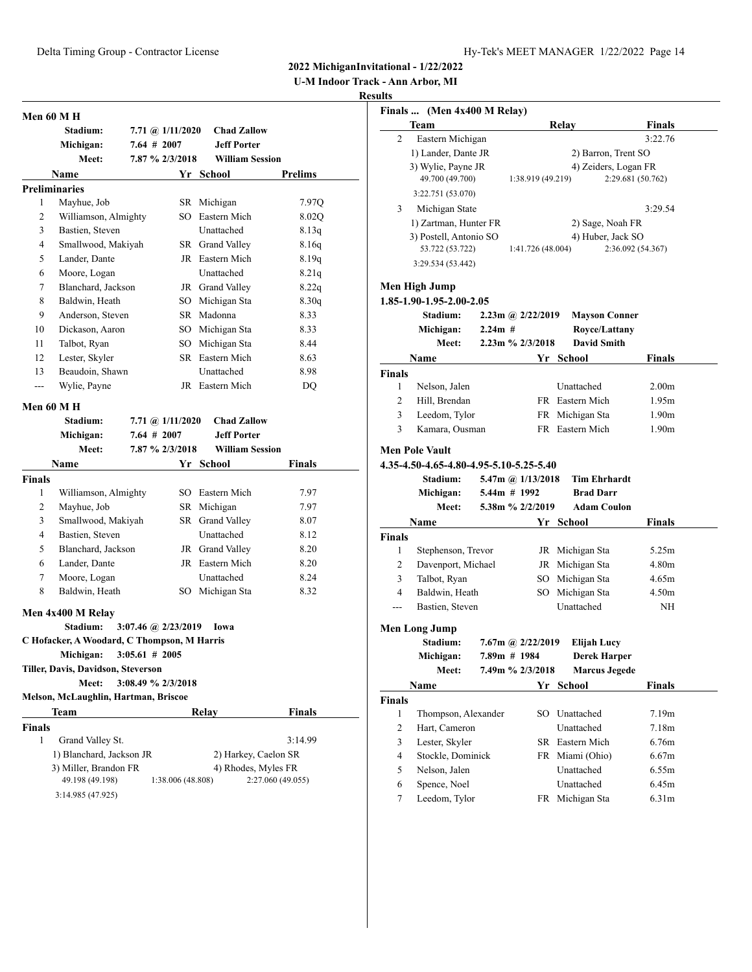**U-M Indoor Track - Ann Arbor, MI**

|               | Men 60 M H                                  |  |                           |                        |                   |
|---------------|---------------------------------------------|--|---------------------------|------------------------|-------------------|
|               | Stadium:                                    |  | 7.71 @ 1/11/2020          | <b>Chad Zallow</b>     |                   |
|               | Michigan:                                   |  | $7.64$ # 2007             | <b>Jeff Porter</b>     |                   |
|               | Meet:                                       |  | 7.87 % 2/3/2018           | <b>William Session</b> |                   |
|               | Name                                        |  |                           | Yr School              | Prelims           |
|               | <b>Preliminaries</b>                        |  |                           |                        |                   |
| 1             | Mayhue, Job                                 |  |                           | SR Michigan            | 7.97Q             |
| 2             | Williamson, Almighty                        |  |                           | SO Eastern Mich        | 8.02Q             |
| 3             | Bastien, Steven                             |  |                           | Unattached             | 8.13q             |
| 4             | Smallwood, Makiyah                          |  |                           | SR Grand Valley        | 8.16q             |
| 5             | Lander, Dante                               |  |                           | JR Eastern Mich        | 8.19q             |
| 6             | Moore, Logan                                |  |                           | Unattached             | 8.21q             |
| 7             | Blanchard, Jackson                          |  |                           | JR Grand Valley        | 8.22q             |
| 8             | Baldwin, Heath                              |  |                           | SO Michigan Sta        | 8.30q             |
| 9             | Anderson, Steven                            |  |                           | SR Madonna             | 8.33              |
| 10            | Dickason, Aaron                             |  |                           | SO Michigan Sta        | 8.33              |
| 11            | Talbot, Ryan                                |  |                           | SO Michigan Sta        | 8.44              |
| 12            | Lester, Skyler                              |  |                           | SR Eastern Mich        | 8.63              |
| 13            | Beaudoin, Shawn                             |  |                           | <b>Unattached</b>      | 8.98              |
| ---           | Wylie, Payne                                |  |                           | JR Eastern Mich        | DQ                |
|               | <b>Men 60 M H</b>                           |  |                           |                        |                   |
|               | Stadium:                                    |  | 7.71 @ $1/11/2020$        | <b>Chad Zallow</b>     |                   |
|               | Michigan:                                   |  | $7.64$ # 2007             | <b>Jeff Porter</b>     |                   |
|               | Meet:                                       |  | 7.87 % 2/3/2018           | <b>William Session</b> |                   |
|               | <b>Name</b>                                 |  |                           | Yr School              | Finals            |
| <b>Finals</b> |                                             |  |                           |                        |                   |
| 1             | Williamson, Almighty                        |  |                           | SO Eastern Mich        | 7.97              |
| 2             | Mayhue, Job                                 |  |                           | SR Michigan            | 7.97              |
| 3             | Smallwood, Makiyah                          |  |                           | SR Grand Valley        | 8.07              |
| 4             | Bastien, Steven                             |  |                           | Unattached             | 8.12              |
| 5             | Blanchard, Jackson                          |  |                           | JR Grand Valley        | 8.20              |
| 6             | Lander, Dante                               |  |                           | JR Eastern Mich        | 8.20              |
| 7             | Moore, Logan                                |  |                           | Unattached             | 8.24              |
| 8             | Baldwin, Heath                              |  |                           | SO Michigan Sta        | 8.32              |
|               |                                             |  |                           |                        |                   |
|               | Men 4x400 M Relay                           |  |                           |                        |                   |
|               | Stadium:                                    |  | $3:07.46$ (a) $2/23/2019$ | Iowa                   |                   |
|               | C Hofacker, A Woodard, C Thompson, M Harris |  |                           |                        |                   |
|               | Michigan:                                   |  | $3:05.61$ # 2005          |                        |                   |
|               | Tiller, Davis, Davidson, Steverson          |  |                           |                        |                   |
|               | Meet:                                       |  | 3:08.49 % 2/3/2018        |                        |                   |
|               | Melson, McLaughlin, Hartman, Briscoe        |  |                           |                        |                   |
|               | Team                                        |  |                           | Relay                  | Finals            |
|               |                                             |  |                           |                        |                   |
| 1             | Grand Valley St.                            |  |                           |                        | 3:14.99           |
| Finals        | 1) Blanchard, Jackson JR                    |  |                           | 2) Harkey, Caelon SR   |                   |
|               | 3) Miller, Brandon FR<br>49.198 (49.198)    |  | 1:38.006 (48.808)         | 4) Rhodes, Myles FR    | 2:27.060 (49.055) |

|                | Finals  (Men 4x400 M Relay)             |           |                        |                               |                   |
|----------------|-----------------------------------------|-----------|------------------------|-------------------------------|-------------------|
|                | Team                                    |           |                        | Relay                         | Finals            |
| $\overline{c}$ | Eastern Michigan                        |           |                        |                               | 3:22.76           |
|                | 1) Lander, Dante JR                     |           |                        | 2) Barron, Trent SO           |                   |
|                | 3) Wylie, Payne JR                      |           |                        | 4) Zeiders, Logan FR          |                   |
|                | 49.700 (49.700)                         |           | 1:38.919 (49.219)      |                               | 2:29.681 (50.762) |
|                | 3:22.751 (53.070)                       |           |                        |                               |                   |
| 3              | Michigan State                          |           |                        |                               | 3:29.54           |
|                | 1) Zartman, Hunter FR                   |           |                        | 2) Sage, Noah FR              |                   |
|                | 3) Postell, Antonio SO                  |           |                        | 4) Huber, Jack SO             |                   |
|                | 53.722 (53.722)                         |           | 1:41.726 (48.004)      |                               | 2:36.092 (54.367) |
|                | 3:29.534 (53.442)                       |           |                        |                               |                   |
|                | Men High Jump                           |           |                        |                               |                   |
|                | 1.85-1.90-1.95-2.00-2.05                |           |                        |                               |                   |
|                | <b>Stadium:</b>                         |           | $2.23$ m @ $2/22/2019$ | <b>Mayson Conner</b>          |                   |
|                | Michigan:                               | $2.24m$ # |                        | Royce/Lattany                 |                   |
|                | <b>Meet:</b>                            |           | $2.23m$ % $2/3/2018$   | <b>David Smith</b>            |                   |
|                | Name                                    |           |                        | Yr School                     | Finals            |
| Finals         |                                         |           |                        |                               |                   |
| 1              | Nelson, Jalen                           |           |                        | Unattached                    | 2.00 <sub>m</sub> |
| 2              | Hill, Brendan                           |           |                        | FR Eastern Mich               | 1.95m             |
| 3              | Leedom, Tylor                           |           |                        | FR Michigan Sta               | 1.90 <sub>m</sub> |
| 3              | Kamara, Ousman                          |           |                        | FR Eastern Mich               | 1.90 <sub>m</sub> |
|                |                                         |           |                        |                               |                   |
|                | <b>Men Pole Vault</b>                   |           |                        |                               |                   |
|                | 4.35-4.50-4.65-4.80-4.95-5.10-5.25-5.40 |           |                        |                               |                   |
|                | <b>Stadium:</b>                         |           | 5.47m @ 1/13/2018      | <b>Tim Ehrhardt</b>           |                   |
|                | Michigan:                               |           | 5.44m # 1992           | <b>Brad Darr</b>              |                   |
|                | <b>Meet:</b>                            |           | 5.38m % 2/2/2019       | <b>Adam Coulon</b>            |                   |
|                | Name                                    |           |                        | Yr School                     | Finals            |
| Finals         |                                         |           |                        |                               |                   |
| 1              | Stephenson, Trevor                      |           |                        | JR Michigan Sta               | 5.25m             |
| 2              | Davenport, Michael                      |           |                        | JR Michigan Sta               | 4.80m             |
| 3<br>4         | Talbot, Ryan                            |           |                        | SO Michigan Sta               | 4.65m             |
|                | Baldwin, Heath                          |           |                        | SO Michigan Sta<br>Unattached | 4.50m             |
| ---            | Bastien, Steven                         |           |                        |                               | ΝH                |
|                | Men Long Jump                           |           |                        |                               |                   |
|                | Stadium:                                |           | $7.67$ m @ 2/22/2019   | Elijah Lucy                   |                   |
|                | Michigan:                               |           | 7.89m # 1984           | Derek Harper                  |                   |
|                | Meet:                                   |           | 7.49m % 2/3/2018       | <b>Marcus Jegede</b>          |                   |
|                | Name                                    |           |                        | Yr School                     | <b>Finals</b>     |
| Finals         |                                         |           |                        |                               |                   |
| 1              | Thompson, Alexander                     |           | SO.                    | Unattached                    | 7.19m             |
| 2              | Hart, Cameron                           |           |                        | Unattached                    | 7.18m             |
| 3              | Lester, Skyler                          |           |                        | SR Eastern Mich               | 6.76m             |
| 4              | Stockle, Dominick                       |           | FR                     | Miami (Ohio)                  | 6.67m             |
| 5              | Nelson, Jalen                           |           |                        | Unattached                    | 6.55m             |
| 6              | Spence, Noel                            |           |                        | Unattached                    | 6.45m             |
| 7              | Leedom, Tylor                           |           | FR                     | Michigan Sta                  | 6.31 <sub>m</sub> |